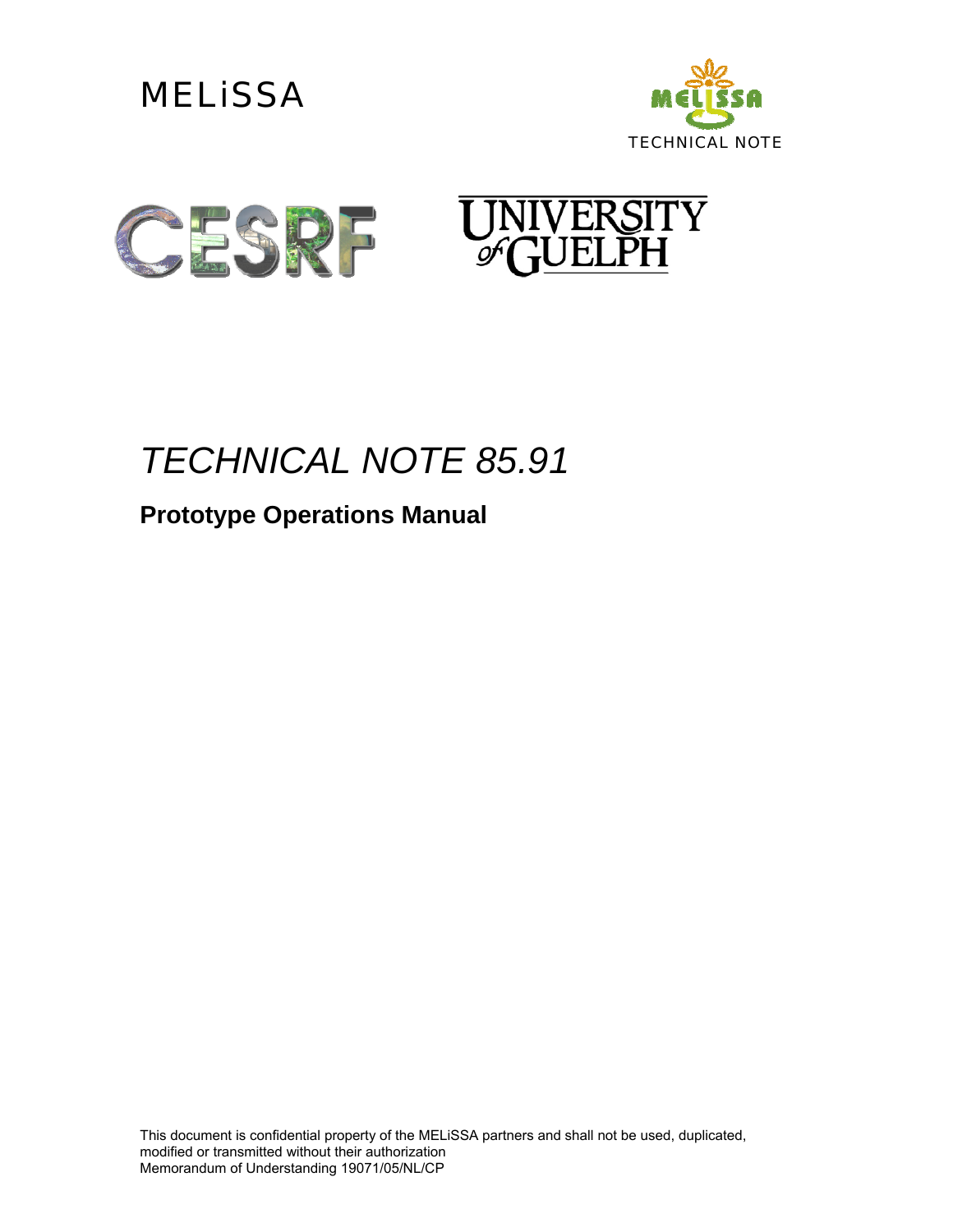





# *TECHNICAL NOTE 85.91*

### **Prototype Operations Manual**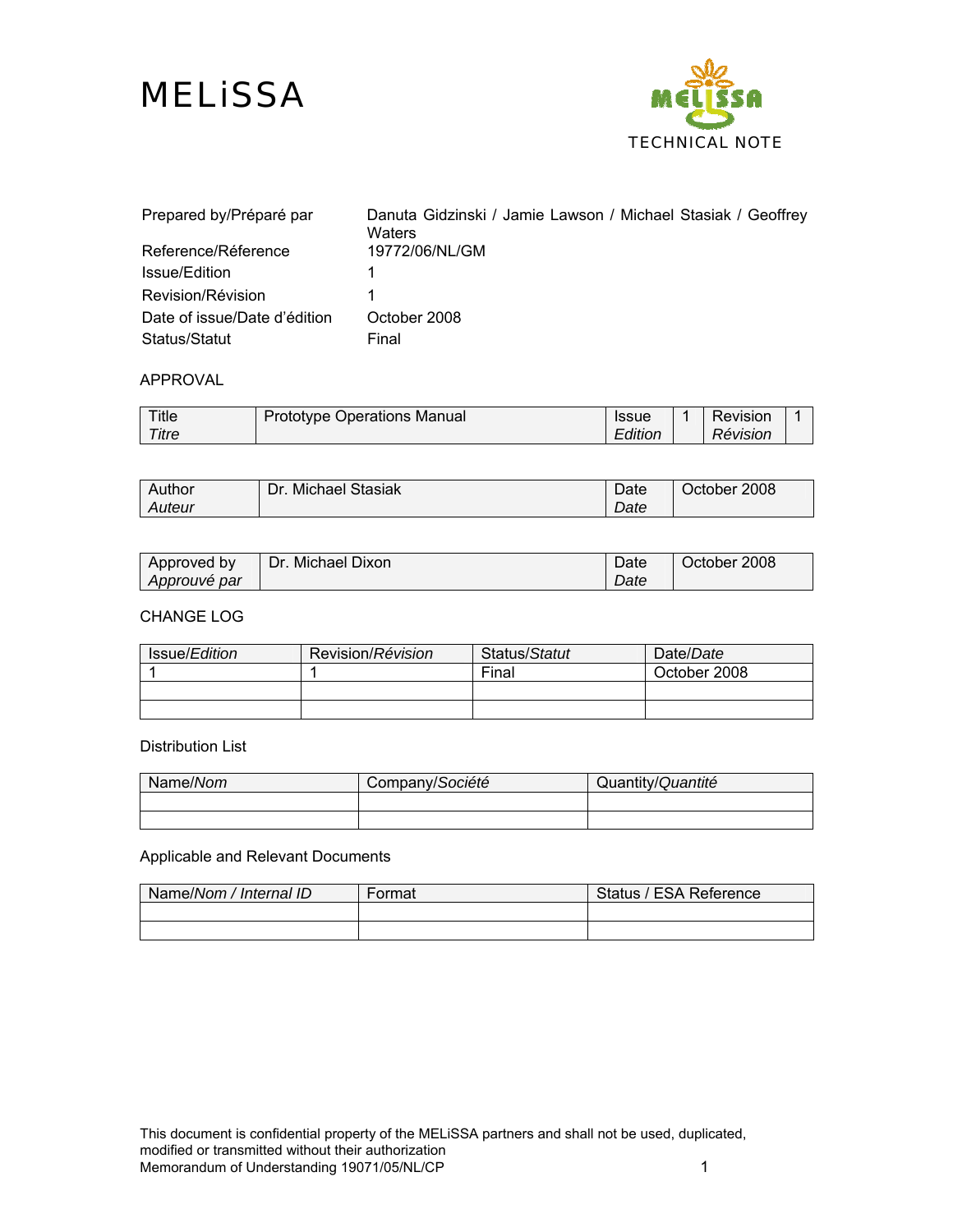



| Prepared by/Préparé par      | Danuta Gidzinski / Jamie Lawson / Michael Stasiak / Geoffrey<br>Waters |
|------------------------------|------------------------------------------------------------------------|
| Reference/Réference          | 19772/06/NL/GM                                                         |
| Issue/Edition                |                                                                        |
| Revision/Révision            |                                                                        |
| Date of issue/Date d'édition | October 2008                                                           |
| Status/Statut                | Final                                                                  |

#### APPROVAL

| Title | Prototype Operations Manual | <b>Issue</b> | Revision |  |
|-------|-----------------------------|--------------|----------|--|
| Titre |                             | Edition      | Révision |  |

| Author | <b>Michael Stasiak</b> | Date | October 2008 |
|--------|------------------------|------|--------------|
| Auteur | Dr.                    | Date |              |
|        |                        |      |              |

| Approved by  | Dr. Michael Dixon | Date | October 2008 |
|--------------|-------------------|------|--------------|
| Approuvé par |                   | Date |              |

#### CHANGE LOG

| Issue/ <i>Edition</i> | Revision/Révision | Status/Statut | Date/Date    |
|-----------------------|-------------------|---------------|--------------|
|                       |                   | Final         | October 2008 |
|                       |                   |               |              |
|                       |                   |               |              |

#### Distribution List

| Name/Nom | Company/Société | Quantity/Quantité |
|----------|-----------------|-------------------|
|          |                 |                   |
|          |                 |                   |

#### Applicable and Relevant Documents

| Name/Nom / Internal ID | Format | Status / ESA Reference |
|------------------------|--------|------------------------|
|                        |        |                        |
|                        |        |                        |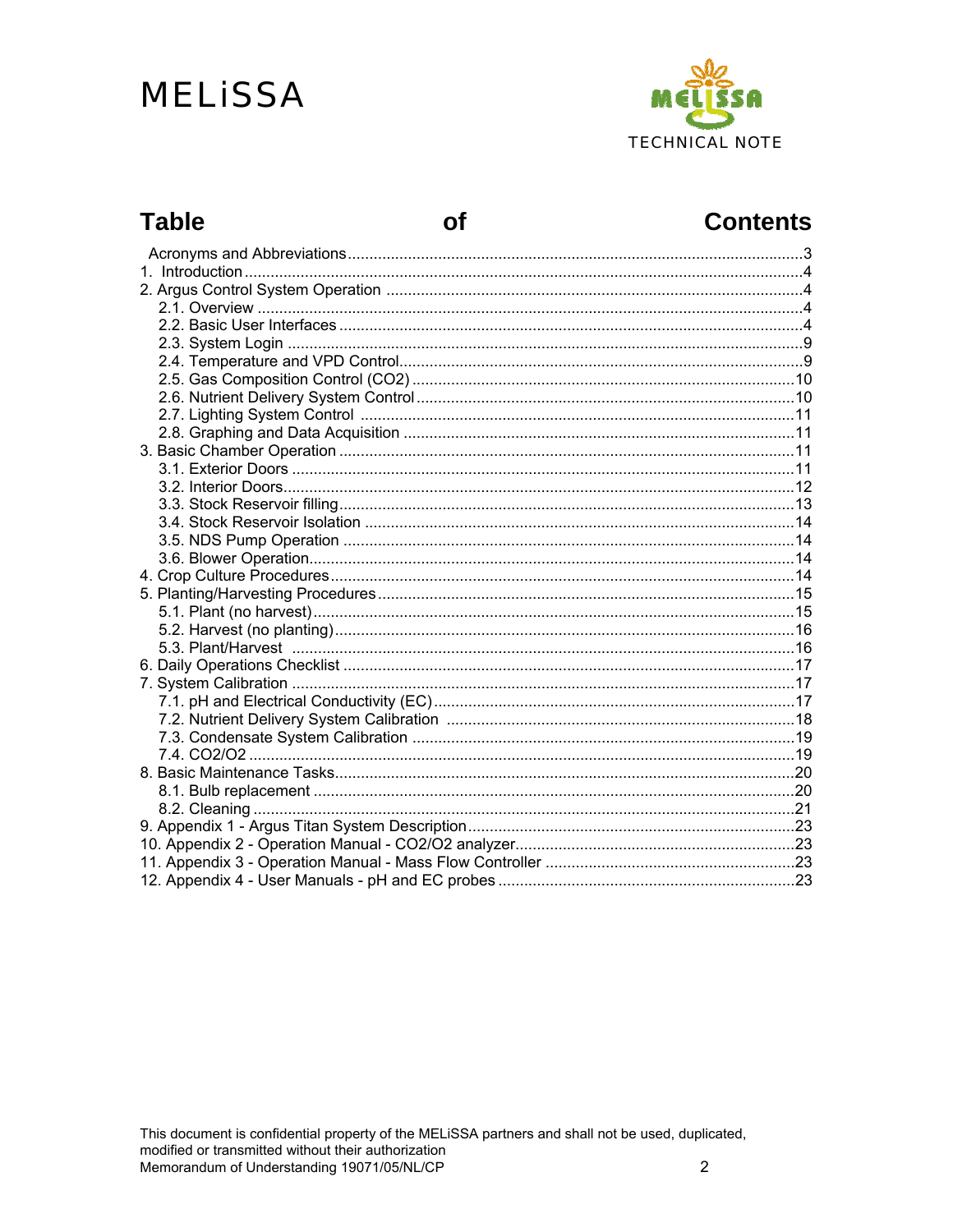# **MELISSA**



### **Table**

of

### **Contents**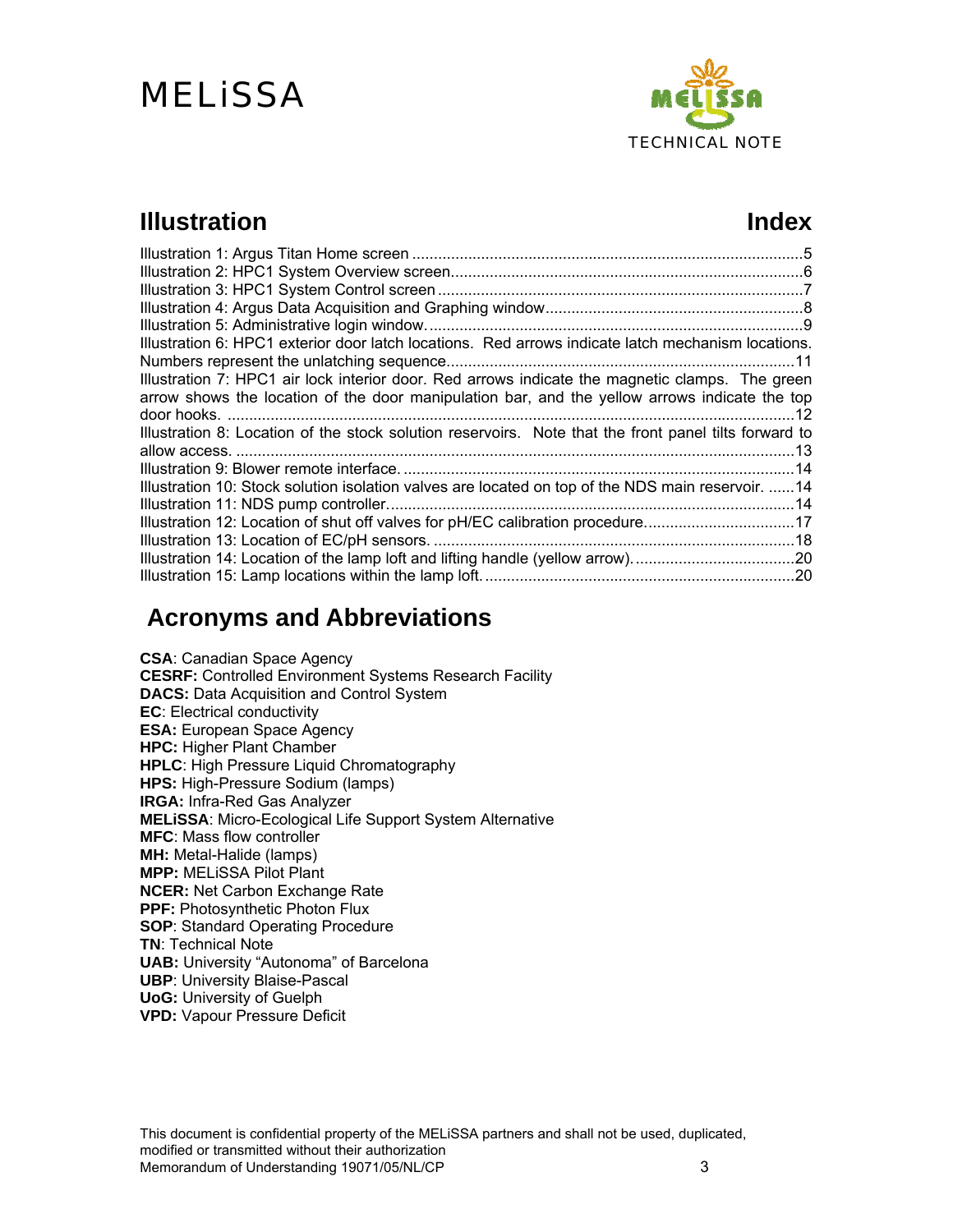

### **Illustration** Index

| Illustration 6: HPC1 exterior door latch locations. Red arrows indicate latch mechanism locations.    |  |
|-------------------------------------------------------------------------------------------------------|--|
|                                                                                                       |  |
| Illustration 7: HPC1 air lock interior door. Red arrows indicate the magnetic clamps. The green       |  |
| arrow shows the location of the door manipulation bar, and the yellow arrows indicate the top         |  |
|                                                                                                       |  |
| Illustration 8: Location of the stock solution reservoirs. Note that the front panel tilts forward to |  |
|                                                                                                       |  |
|                                                                                                       |  |
| Illustration 10: Stock solution isolation valves are located on top of the NDS main reservoir.  14    |  |
|                                                                                                       |  |
| Illustration 12: Location of shut off valves for pH/EC calibration procedure17                        |  |
|                                                                                                       |  |
| Illustration 14: Location of the lamp loft and lifting handle (yellow arrow)20                        |  |
|                                                                                                       |  |

### **Acronyms and Abbreviations**

**CSA**: Canadian Space Agency **CESRF:** Controlled Environment Systems Research Facility **DACS:** Data Acquisition and Control System **EC**: Electrical conductivity **ESA:** European Space Agency **HPC:** Higher Plant Chamber **HPLC**: High Pressure Liquid Chromatography **HPS:** High-Pressure Sodium (lamps) **IRGA:** Infra-Red Gas Analyzer **MELiSSA**: Micro-Ecological Life Support System Alternative **MFC**: Mass flow controller **MH:** Metal-Halide (lamps) **MPP:** MELiSSA Pilot Plant **NCER:** Net Carbon Exchange Rate **PPF:** Photosynthetic Photon Flux **SOP**: Standard Operating Procedure **TN**: Technical Note **UAB:** University "Autonoma" of Barcelona **UBP**: University Blaise-Pascal **UoG:** University of Guelph **VPD:** Vapour Pressure Deficit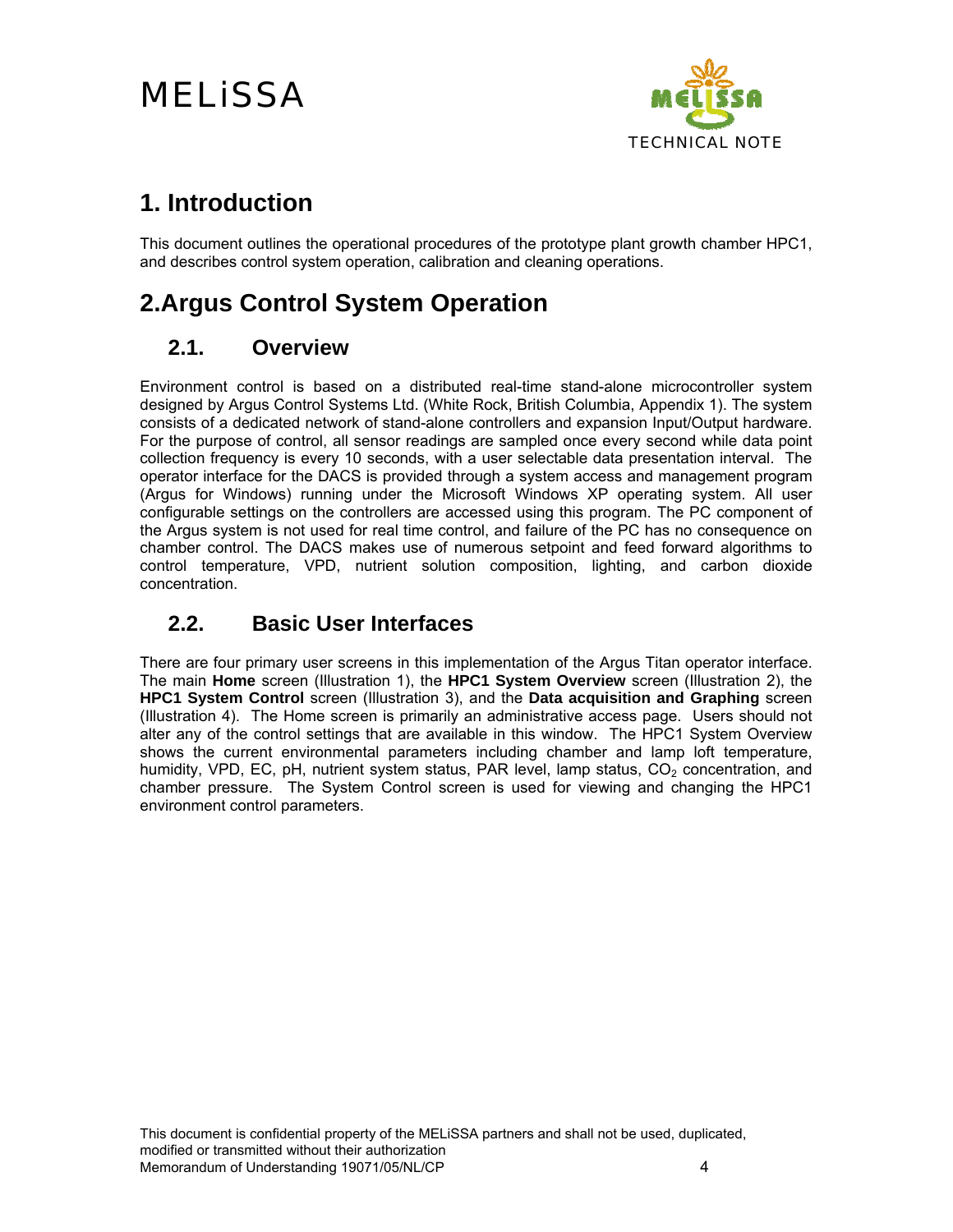

### **1. Introduction**

This document outlines the operational procedures of the prototype plant growth chamber HPC1, and describes control system operation, calibration and cleaning operations.

### **2.Argus Control System Operation**

#### **2.1. Overview**

Environment control is based on a distributed real-time stand-alone microcontroller system designed by Argus Control Systems Ltd. (White Rock, British Columbia, Appendix 1). The system consists of a dedicated network of stand-alone controllers and expansion Input/Output hardware. For the purpose of control, all sensor readings are sampled once every second while data point collection frequency is every 10 seconds, with a user selectable data presentation interval. The operator interface for the DACS is provided through a system access and management program (Argus for Windows) running under the Microsoft Windows XP operating system. All user configurable settings on the controllers are accessed using this program. The PC component of the Argus system is not used for real time control, and failure of the PC has no consequence on chamber control. The DACS makes use of numerous setpoint and feed forward algorithms to control temperature, VPD, nutrient solution composition, lighting, and carbon dioxide concentration.

#### **2.2. Basic User Interfaces**

There are four primary user screens in this implementation of the Argus Titan operator interface. The main **Home** screen (Illustration 1), the **HPC1 System Overview** screen (Illustration 2), the **HPC1 System Control** screen (Illustration 3), and the **Data acquisition and Graphing** screen (Illustration 4). The Home screen is primarily an administrative access page. Users should not alter any of the control settings that are available in this window. The HPC1 System Overview shows the current environmental parameters including chamber and lamp loft temperature, humidity, VPD, EC, pH, nutrient system status, PAR level, lamp status,  $CO<sub>2</sub>$  concentration, and chamber pressure. The System Control screen is used for viewing and changing the HPC1 environment control parameters.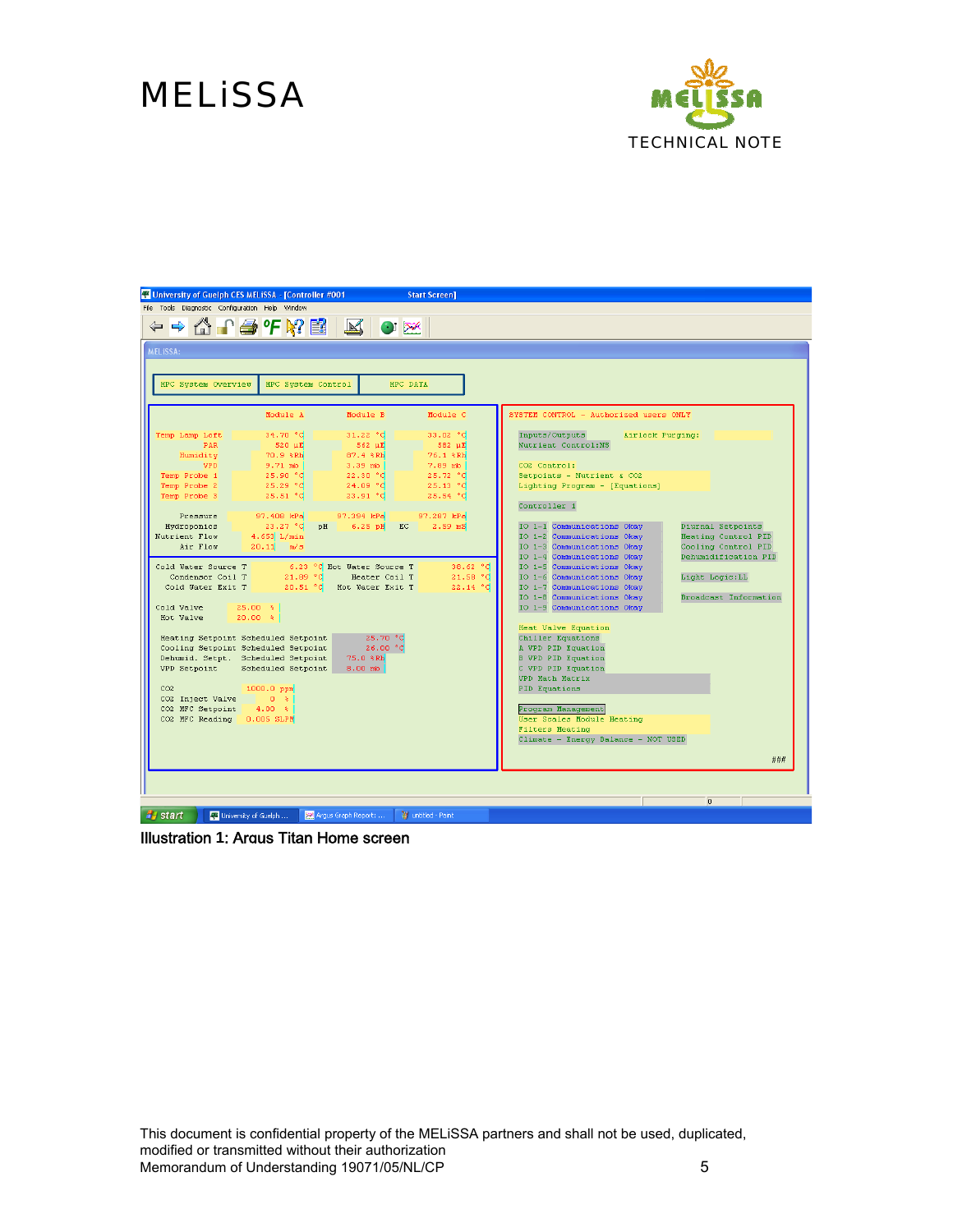

| University of Guelph CES MELISSA - [Controller #001<br><b>Start Screen]</b>                       |                                                                                          |
|---------------------------------------------------------------------------------------------------|------------------------------------------------------------------------------------------|
| File Tools Diagnostic Configuration Help Window                                                   |                                                                                          |
| ← ← △ ↑ ● ℉ R? ■ B   B   ∞                                                                        |                                                                                          |
|                                                                                                   |                                                                                          |
| <b>MELISSA:</b>                                                                                   |                                                                                          |
|                                                                                                   |                                                                                          |
| HPC System Control<br>HPC System Overview<br>HPC DATA                                             |                                                                                          |
|                                                                                                   |                                                                                          |
| Module C<br>Module A<br>Module B                                                                  | SYSTEM CONTROL - Authorized users ONLY                                                   |
| 34.70 °C<br>31.22 °C<br>33.02 °C<br>Temp Lamp Loft                                                | Inputs/Outputs<br>Airlock Purging:                                                       |
| <b>PAR</b><br>$520 \text{ }\mu\text{E}$<br>$-562 \text{ }\mu\text{E}$<br>582 µE                   | Nutrient Control:NS                                                                      |
| 87.4 %Rh<br>76.1 %Rh<br>Humidity<br>70.9 %Rh<br><b>VPD</b><br>$9.71$ mb<br>$3.39$ mb<br>7.89 mb   | CO2 Control:                                                                             |
| Temp Probe 1<br>25.90 °C<br>22.30 °C<br>25.72 °C                                                  | Setpoints - Nutrient & CO2                                                               |
| 25.29 °C<br>24.09 °C<br>Temp Probe 2<br>25.13 °C                                                  | Lighting Program - [Equations]                                                           |
| Temp Probe 3<br>25.51 °C<br>23.91 °C<br>25.54 °C                                                  | Controller <sub>1</sub>                                                                  |
| 97.408 kPa<br>97.394 kPa<br>Pressure<br>97.287 kPa                                                |                                                                                          |
| Hydroponics<br>23.27 °C<br>pH<br>$6.25$ pH<br>EC<br>$2.59$ mS                                     | IO 1-1 Communications Okay<br>Diurnal Setpoints                                          |
| Nutrient Flow<br>$4.653$ L/min                                                                    | IO 1-2 Communications Okay<br>Heating Control PID                                        |
| 20.11 m/s<br>Air Flow                                                                             | IO 1-3 Communications Okay<br>Cooling Control PID                                        |
| Cold Water Source T<br>6.23 °C Hot Water Source T<br>38.62 °C                                     | IO 1-4 Communications Okay<br>Dehumidification PID<br>IO 1-5 Communications Okay         |
| 21.89 °C<br>21.58 °C<br>Condensor Coil T<br>Heater Coil T                                         | IO 1-6 Communications Okav<br>Light Logic: LL                                            |
| Cold Water Exit T<br>20.51 °C<br>22.14 °C<br>Hot Water Exit T                                     | IO 1-7 Communications Okay                                                               |
| Cold Valve<br>$25.00*$                                                                            | IO 1-8 Communications Okav<br><b>Broadcast Information</b><br>IO 1-9 Communications Okay |
| Hot Valve<br>$20.00*$                                                                             |                                                                                          |
|                                                                                                   | Heat Valve Equation                                                                      |
| Heating Setpoint Scheduled Setpoint<br>25.70 °C                                                   | Chiller Equations                                                                        |
| 26.00 °C<br>Cooling Setpoint Scheduled Setpoint<br>Dehumid. Setpt. Scheduled Setpoint<br>75.0 %Rh | A VPD PID Equation<br><b>B VPD PID Equation</b>                                          |
| VPD Setpoint<br>Scheduled Setpoint<br>8.00 mb                                                     | C VPD PID Equation                                                                       |
|                                                                                                   | <b>VPD Math Matrix</b>                                                                   |
| CO <sub>2</sub><br>1000.0 ppm                                                                     | PID Equations                                                                            |
| CO2 Inject Valve<br>0 <sup>h</sup><br>CO2 MFC Setpoint<br>$4.00*$                                 | Program Management                                                                       |
| CO2 MFC Reading 0.005 SLPM                                                                        | User Scales Module Heating                                                               |
|                                                                                                   | <b>Filters Heating</b>                                                                   |
|                                                                                                   | Climate - Energy Balance - NOT USED                                                      |
|                                                                                                   | ###                                                                                      |
|                                                                                                   |                                                                                          |
|                                                                                                   |                                                                                          |
|                                                                                                   | $\overline{0}$                                                                           |
| Argus Graph Report:<br><b>H</b> start<br>W untitled - Paint                                       |                                                                                          |
| 4% University of Guelph                                                                           |                                                                                          |

Illustration **1**: Argus Titan Home screen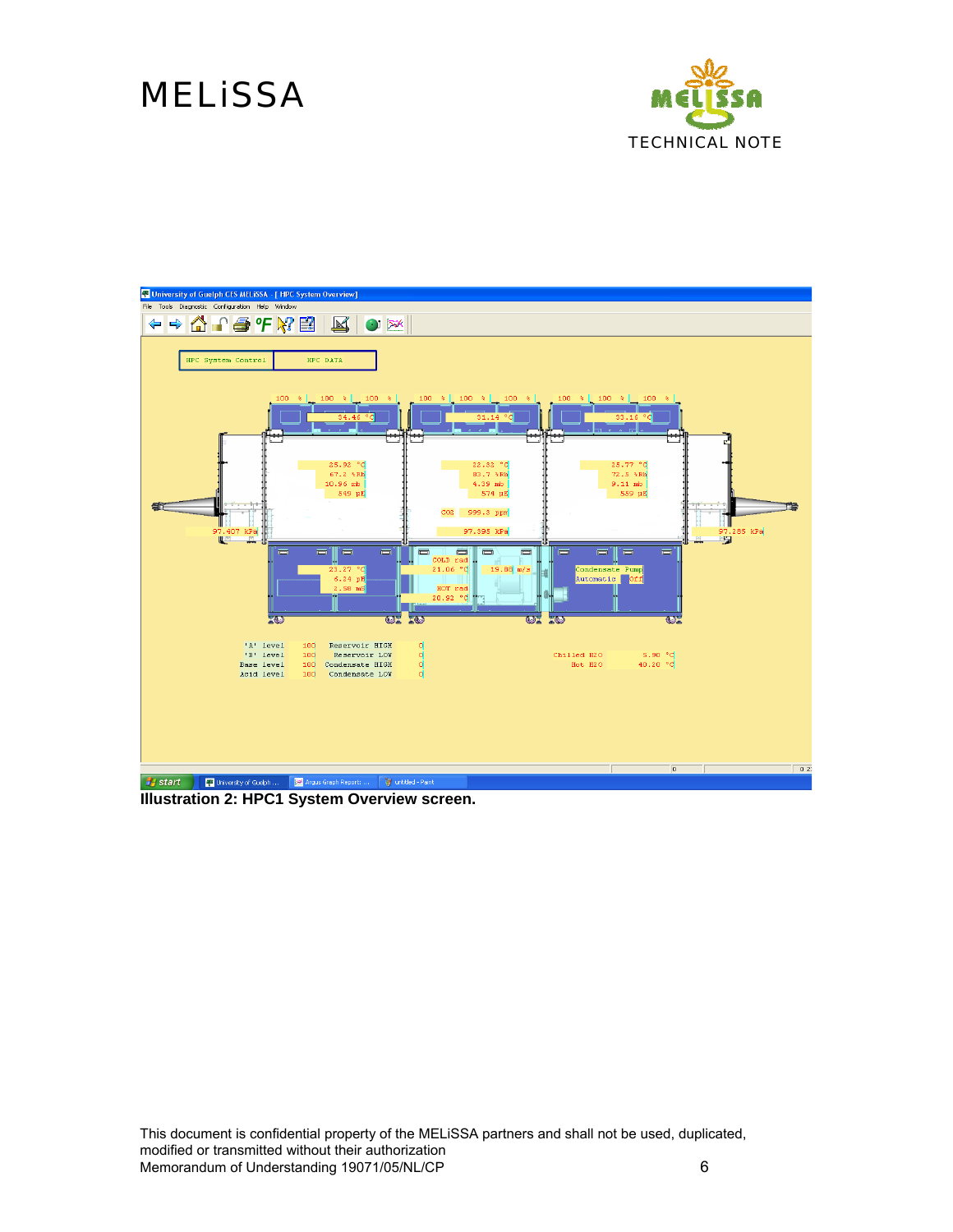



**Illustration 2: HPC1 System Overview screen.**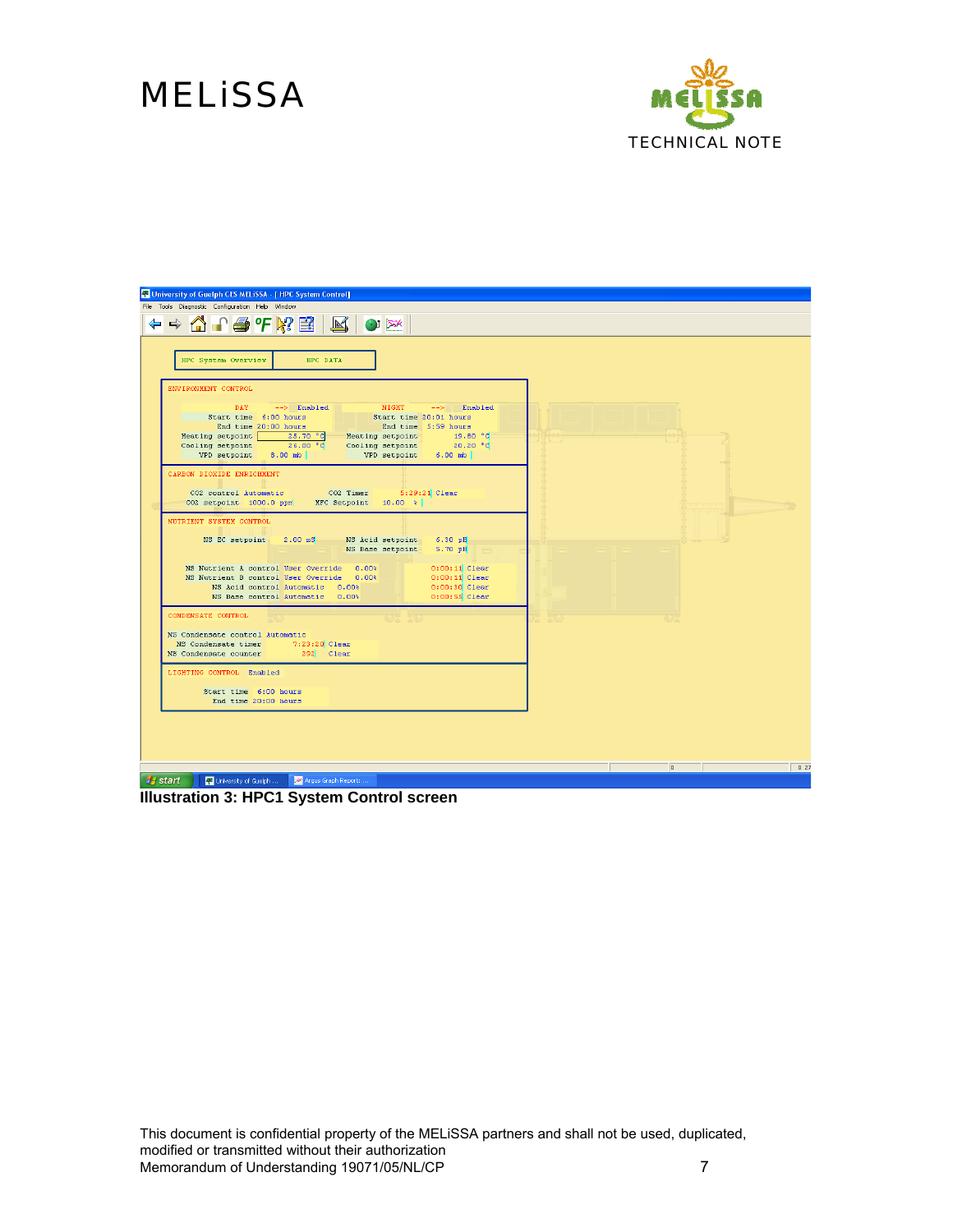

| F University of Guelph CES MELISSA - [ HPC System Control]                                                                                                                                                                                                                                                                                                                                                                                                                                                          |                        |
|---------------------------------------------------------------------------------------------------------------------------------------------------------------------------------------------------------------------------------------------------------------------------------------------------------------------------------------------------------------------------------------------------------------------------------------------------------------------------------------------------------------------|------------------------|
| File Tools Diagnostic Configuration Help Window                                                                                                                                                                                                                                                                                                                                                                                                                                                                     |                        |
| ← ← △ ↑ ● ℉ ₩ ■ ■ △ ● ※                                                                                                                                                                                                                                                                                                                                                                                                                                                                                             |                        |
| HPC System Overview<br>HPC DATA                                                                                                                                                                                                                                                                                                                                                                                                                                                                                     |                        |
| ENVIRONMENT CONTROL<br>--> Enabled NIGHT<br>DAY.<br>$\leftarrow$ $\rightarrow$ Enabled<br>Start time 20:01 hours<br>Start time 6:00 hours<br>End time 20:00 hours<br>End time 5:59 hours<br>$\begin{array}{c c c c c} \hline 25.70\degree G & \text{Heating setup} & \text{19.80 }\degree G \\ \hline 26.00\degree G & \text{Cooling setup} & \text{20.20 }\degree G \end{array}$<br>Heating setpoint<br>Cooling setpoint<br>VPD setpoint 6.00 mb<br>VPD setpoint<br>$8.00 \text{ mb}$<br>CARBON DIOXIDE ENRICHMENT |                        |
| CO2 control Automatic CO2 Timer 5:29:21 Clear<br>$CO2$ setpoint 1000.0 ppm MFC Setpoint 10.00 %                                                                                                                                                                                                                                                                                                                                                                                                                     |                        |
| NUTRIENT SYSTEM CONTROL<br>NS EC setpoint 2.00 mS NS Acid setpoint 6.30 pH<br>NS Base setpoint 5.70 pH<br>$0:00:11$ Clear<br>NS Nutrient A control User Override 0.00%<br>$0:00:11$ Clear<br>NS Nutrient B control User Override 0.00%<br>$0:00:30$ Clear<br>NS Acid control Automatic 0.00%<br>$0:00:55$ Clear<br>NS Base control Automatic 0.00%                                                                                                                                                                  |                        |
| CONDENSATE CONTROL<br>NS Condensate control Automatic<br>NS Condensate timer 7:23:20 Clear<br>292 Clear<br>NS Condensate counter                                                                                                                                                                                                                                                                                                                                                                                    |                        |
| LIGHTING CONTROL Enabled<br>Start time 6:00 hours<br>End time 20:00 hours                                                                                                                                                                                                                                                                                                                                                                                                                                           |                        |
|                                                                                                                                                                                                                                                                                                                                                                                                                                                                                                                     |                        |
|                                                                                                                                                                                                                                                                                                                                                                                                                                                                                                                     | 0.27<br>$\overline{0}$ |
| <b>P</b> start<br>University of Guelph <b>I DOW</b> Argus Graph Report:                                                                                                                                                                                                                                                                                                                                                                                                                                             |                        |

**Illustration 3: HPC1 System Control screen**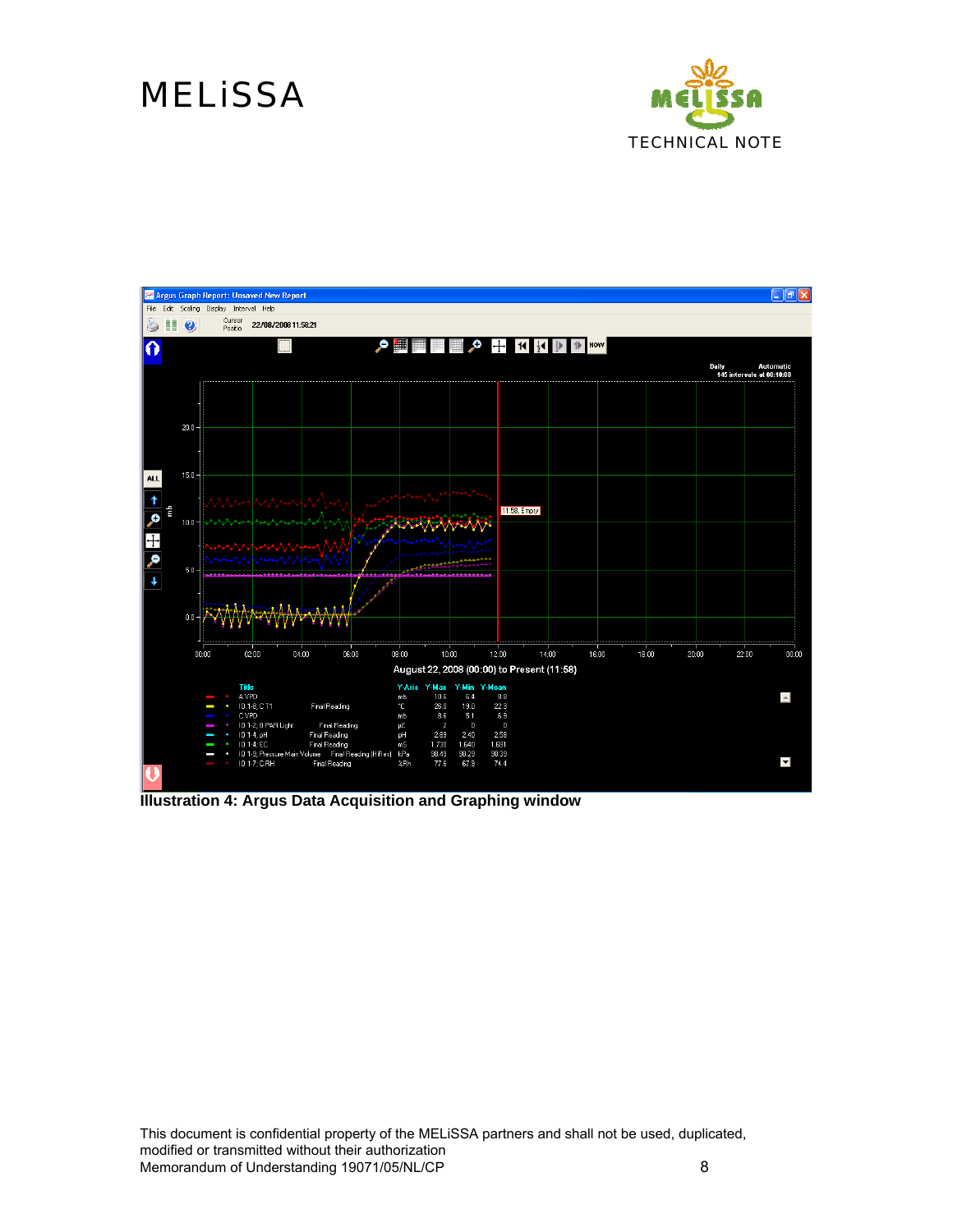



**Illustration 4: Argus Data Acquisition and Graphing window**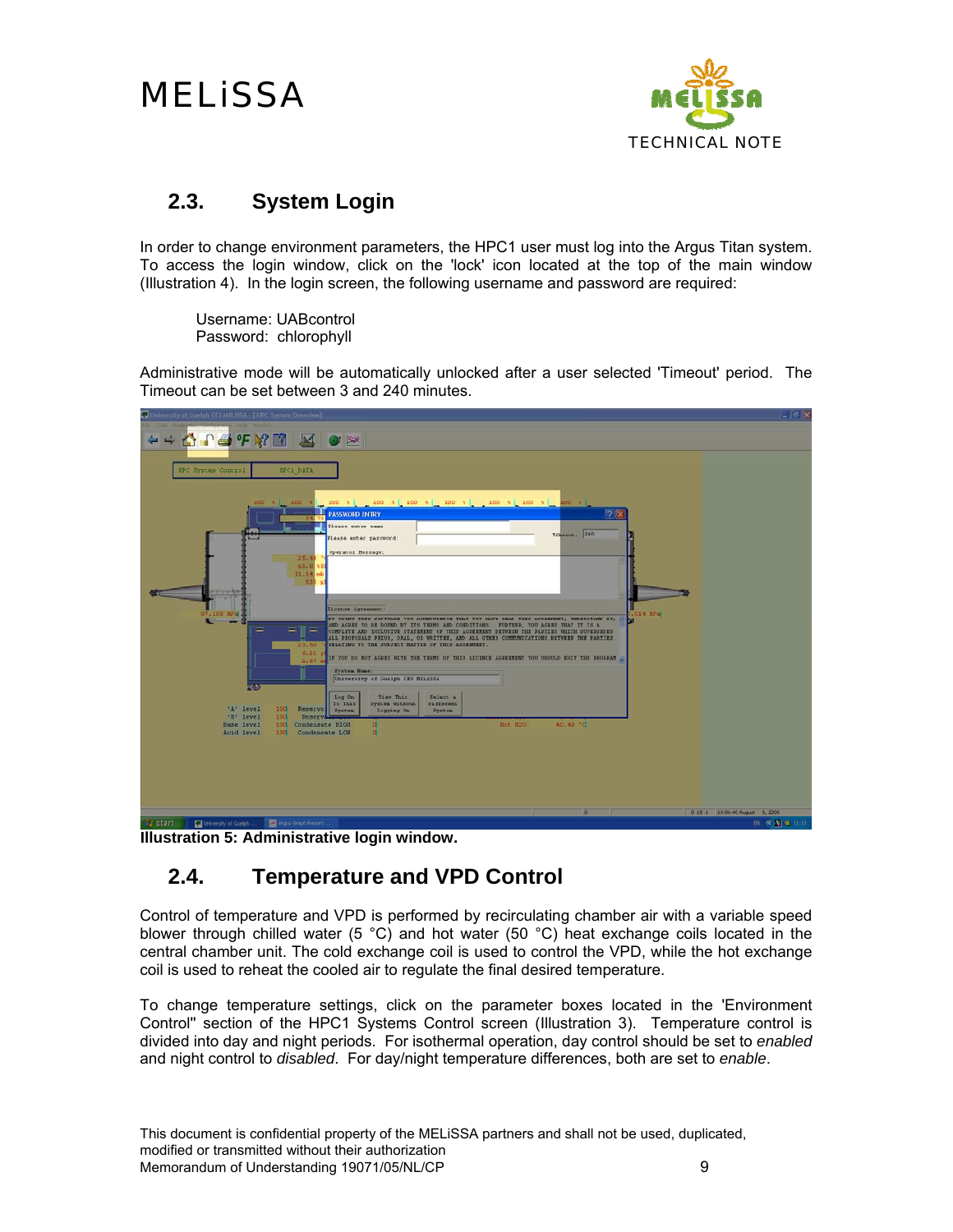

#### **2.3. System Login**

In order to change environment parameters, the HPC1 user must log into the Argus Titan system. To access the login window, click on the 'lock' icon located at the top of the main window (Illustration 4). In the login screen, the following username and password are required:

 Username: UABcontrol Password: chlorophyll

Administrative mode will be automatically unlocked after a user selected 'Timeout' period. The Timeout can be set between 3 and 240 minutes.

| University of Guelph CIS MILSSA -{ HPC System Overview]                                                                                                                                                                                                                               | $-18$ X                        |
|---------------------------------------------------------------------------------------------------------------------------------------------------------------------------------------------------------------------------------------------------------------------------------------|--------------------------------|
|                                                                                                                                                                                                                                                                                       |                                |
| ++ A A + F X B S O X                                                                                                                                                                                                                                                                  |                                |
|                                                                                                                                                                                                                                                                                       |                                |
| <b>HPC System Control</b><br>HPC1 DATA                                                                                                                                                                                                                                                |                                |
|                                                                                                                                                                                                                                                                                       |                                |
| [100 %] 100 % [ 100 %] [100 %] 100 % [ 100 % ] 100 % ]<br>100 + 100 +<br>2K<br><b>PASSWORD ENTRY</b>                                                                                                                                                                                  |                                |
| <b>Dlease</b> enter name                                                                                                                                                                                                                                                              |                                |
| Timeout: 240<br><b>MAP</b><br>Please enter password:                                                                                                                                                                                                                                  |                                |
| Operator Hessage:<br>25.46                                                                                                                                                                                                                                                            |                                |
| 65.8                                                                                                                                                                                                                                                                                  |                                |
| 11.14<br>53                                                                                                                                                                                                                                                                           |                                |
| <b>The State</b>                                                                                                                                                                                                                                                                      |                                |
| License Agreement:<br>97.130 RPS<br>$7.014$ $RPa$                                                                                                                                                                                                                                     |                                |
| BY USING THIS SOFTWARE YOU ACREOWLEDGE THAT YOU HAVE READ THIS ACREEMENT, UNDERSTAND IT, A<br>AND AGREE TO BE BOUND BY ITS TERMS AND CONDITIONS. FURTHER, YOU AGREE THAT IT IS A<br>-<br>▬<br>COMPLETE AND EXCLUSIVE STATEMENT OF THIS AGREEMENT DETWEEN THE PARTIES WHICH SUPERSEDES |                                |
| ALL PROPOSALS PRIOR, ORAL, OR WRITTEN, AND ALL OTHER COMMUNICATIONS BETWEEN THE PARTIES<br><b>DELATING TO THE SUBJECT MATTER OF THIS AGREEMENT.</b><br>23.50                                                                                                                          |                                |
| 6.22<br>IF YOU DO NOT AGREE WITH THE TERMS OF THIS LICENCE AGREEMENT YOU SHOULD EXIT THE PROGRAM<br>2.571                                                                                                                                                                             |                                |
| <b>System Name:</b><br>University of Cuelph CES MELiSSA                                                                                                                                                                                                                               |                                |
| ROT                                                                                                                                                                                                                                                                                   |                                |
| Log On<br>View This<br>Select a<br>System without<br><b>Different</b><br>To This<br>'A' level<br>100<br>Reservo!                                                                                                                                                                      |                                |
| System<br>Logging On<br><b>System</b><br>'B' level<br>100<br>Renery<br>40.49 °C<br>Base level<br>Hot H2O<br>100<br>Condensate HIGH<br>o                                                                                                                                               |                                |
| $\alpha$<br>Acid level<br>100<br>Condensate LOW                                                                                                                                                                                                                                       |                                |
|                                                                                                                                                                                                                                                                                       |                                |
|                                                                                                                                                                                                                                                                                       |                                |
|                                                                                                                                                                                                                                                                                       |                                |
|                                                                                                                                                                                                                                                                                       |                                |
| $\circ$                                                                                                                                                                                                                                                                               | 0 10-1 10:06:40 August 0, 2000 |
| <b>Bronzell Manual Communication</b><br><b>Company</b>                                                                                                                                                                                                                                | <b>COLLEGE AVENUE STATE</b>    |

**Illustration 5: Administrative login window.**

#### **2.4. Temperature and VPD Control**

Control of temperature and VPD is performed by recirculating chamber air with a variable speed blower through chilled water (5 °C) and hot water (50 °C) heat exchange coils located in the central chamber unit. The cold exchange coil is used to control the VPD, while the hot exchange coil is used to reheat the cooled air to regulate the final desired temperature.

To change temperature settings, click on the parameter boxes located in the 'Environment Control'' section of the HPC1 Systems Control screen (Illustration 3). Temperature control is divided into day and night periods. For isothermal operation, day control should be set to *enabled* and night control to *disabled*. For day/night temperature differences, both are set to *enable*.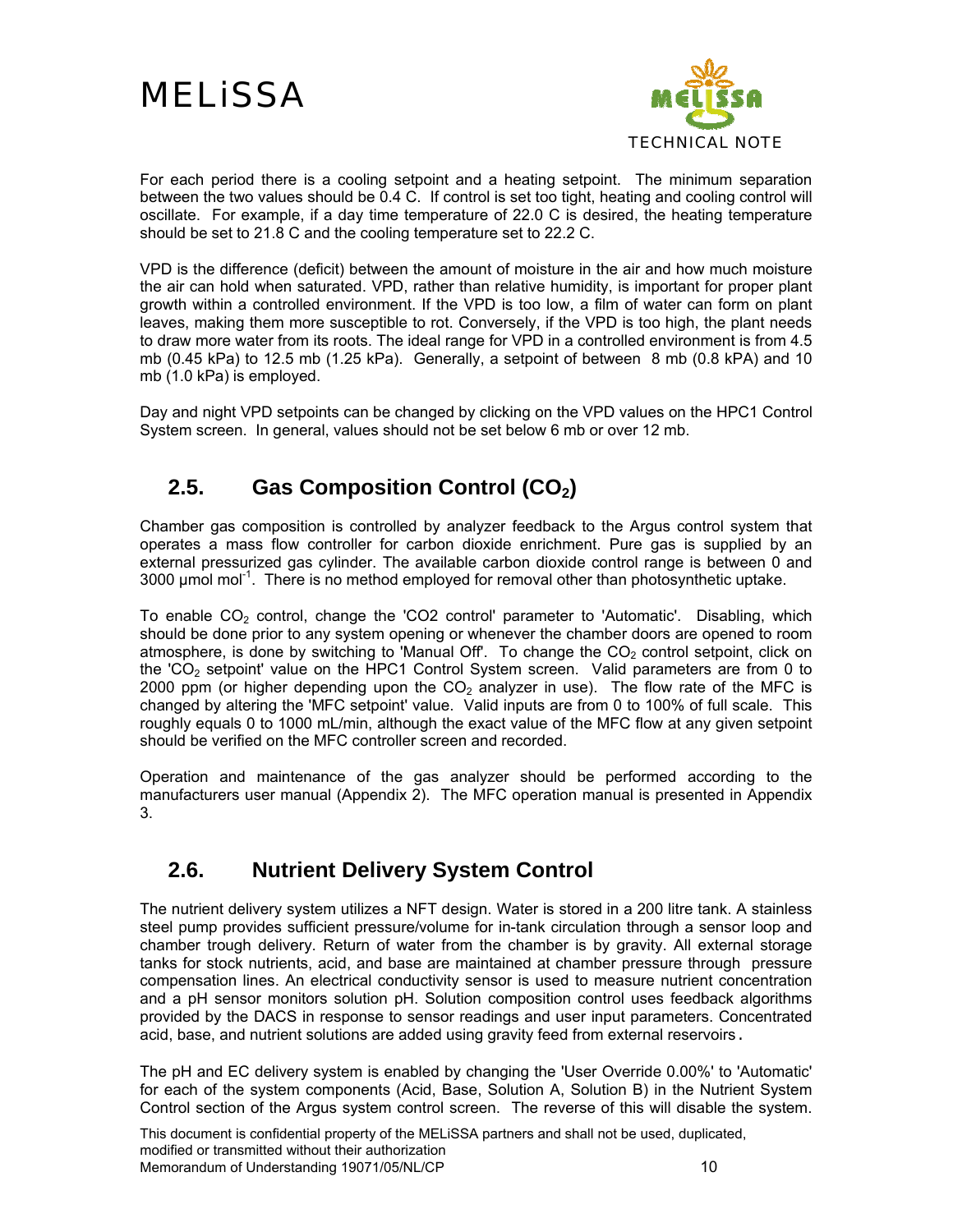

For each period there is a cooling setpoint and a heating setpoint. The minimum separation between the two values should be 0.4 C. If control is set too tight, heating and cooling control will oscillate. For example, if a day time temperature of 22.0 C is desired, the heating temperature should be set to 21.8 C and the cooling temperature set to 22.2 C.

VPD is the difference (deficit) between the amount of moisture in the air and how much moisture the air can hold when saturated. VPD, rather than relative humidity, is important for proper plant growth within a controlled environment. If the VPD is too low, a film of water can form on plant leaves, making them more susceptible to rot. Conversely, if the VPD is too high, the plant needs to draw more water from its roots. The ideal range for VPD in a controlled environment is from 4.5 mb (0.45 kPa) to 12.5 mb (1.25 kPa). Generally, a setpoint of between 8 mb (0.8 kPA) and 10 mb (1.0 kPa) is employed.

Day and night VPD setpoints can be changed by clicking on the VPD values on the HPC1 Control System screen. In general, values should not be set below 6 mb or over 12 mb.

### **2.5. Gas Composition Control (CO<sub>2</sub>)**

Chamber gas composition is controlled by analyzer feedback to the Argus control system that operates a mass flow controller for carbon dioxide enrichment. Pure gas is supplied by an external pressurized gas cylinder. The available carbon dioxide control range is between 0 and 3000  $\mu$ mol mol<sup>-1</sup>. There is no method employed for removal other than photosynthetic uptake.

To enable  $CO<sub>2</sub>$  control, change the 'CO2 control' parameter to 'Automatic'. Disabling, which should be done prior to any system opening or whenever the chamber doors are opened to room atmosphere, is done by switching to 'Manual Off'. To change the  $CO<sub>2</sub>$  control setpoint, click on the 'CO<sub>2</sub> setpoint' value on the HPC1 Control System screen. Valid parameters are from 0 to 2000 ppm (or higher depending upon the  $CO<sub>2</sub>$  analyzer in use). The flow rate of the MFC is changed by altering the 'MFC setpoint' value. Valid inputs are from 0 to 100% of full scale. This roughly equals 0 to 1000 mL/min, although the exact value of the MFC flow at any given setpoint should be verified on the MFC controller screen and recorded.

Operation and maintenance of the gas analyzer should be performed according to the manufacturers user manual (Appendix 2). The MFC operation manual is presented in Appendix 3.

#### **2.6. Nutrient Delivery System Control**

The nutrient delivery system utilizes a NFT design. Water is stored in a 200 litre tank. A stainless steel pump provides sufficient pressure/volume for in-tank circulation through a sensor loop and chamber trough delivery. Return of water from the chamber is by gravity. All external storage tanks for stock nutrients, acid, and base are maintained at chamber pressure through pressure compensation lines. An electrical conductivity sensor is used to measure nutrient concentration and a pH sensor monitors solution pH. Solution composition control uses feedback algorithms provided by the DACS in response to sensor readings and user input parameters. Concentrated acid, base, and nutrient solutions are added using gravity feed from external reservoirs.

The pH and EC delivery system is enabled by changing the 'User Override 0.00%' to 'Automatic' for each of the system components (Acid, Base, Solution A, Solution B) in the Nutrient System Control section of the Argus system control screen. The reverse of this will disable the system.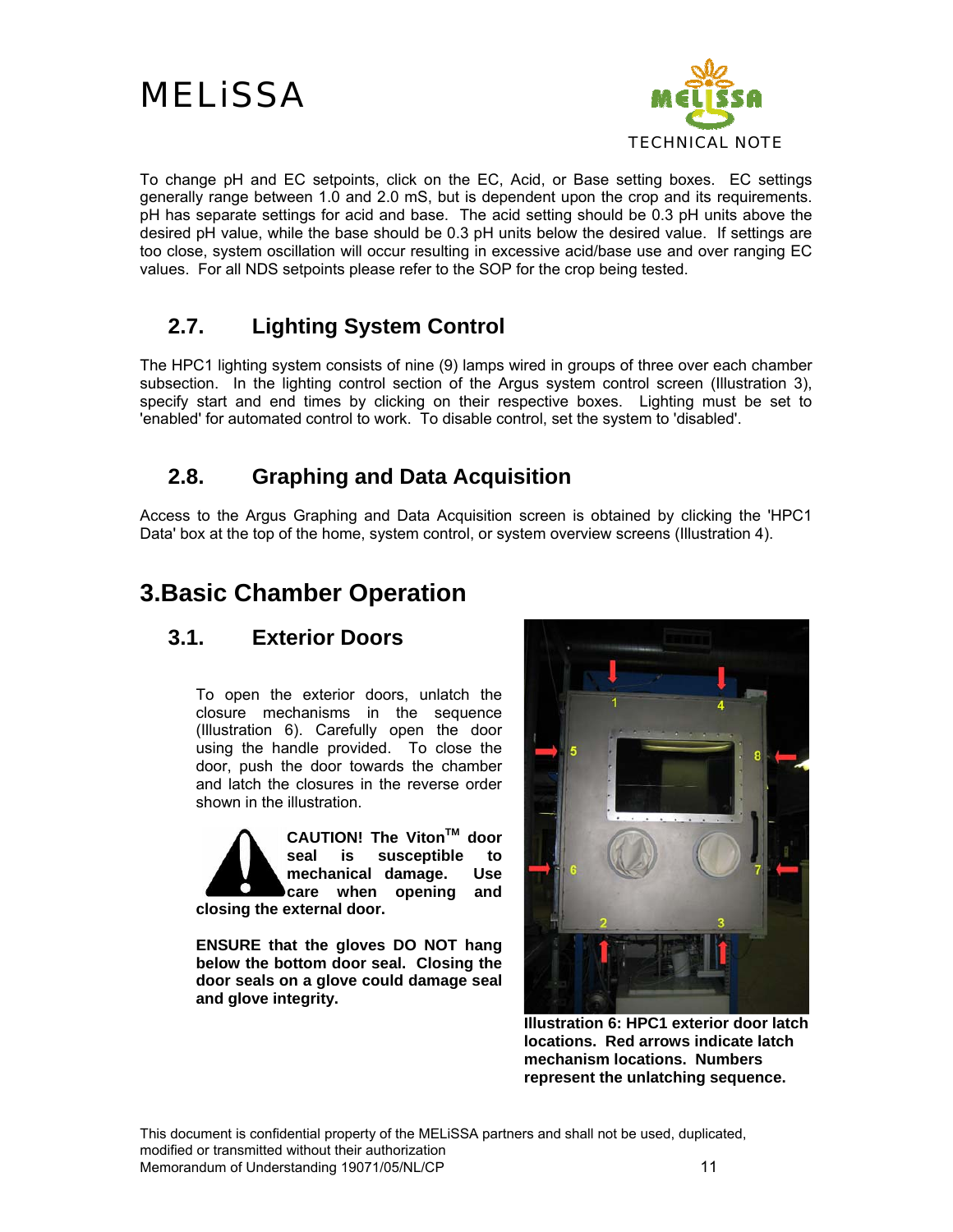



To change pH and EC setpoints, click on the EC, Acid, or Base setting boxes. EC settings generally range between 1.0 and 2.0 mS, but is dependent upon the crop and its requirements. pH has separate settings for acid and base. The acid setting should be 0.3 pH units above the desired pH value, while the base should be 0.3 pH units below the desired value. If settings are too close, system oscillation will occur resulting in excessive acid/base use and over ranging EC values. For all NDS setpoints please refer to the SOP for the crop being tested.

#### **2.7. Lighting System Control**

The HPC1 lighting system consists of nine (9) lamps wired in groups of three over each chamber subsection. In the lighting control section of the Argus system control screen (Illustration 3), specify start and end times by clicking on their respective boxes. Lighting must be set to 'enabled' for automated control to work. To disable control, set the system to 'disabled'.

#### **2.8. Graphing and Data Acquisition**

Access to the Argus Graphing and Data Acquisition screen is obtained by clicking the 'HPC1 Data' box at the top of the home, system control, or system overview screens (Illustration 4).

### **3.Basic Chamber Operation**

#### **3.1. Exterior Doors**

To open the exterior doors, unlatch the closure mechanisms in the sequence (Illustration 6). Carefully open the door using the handle provided. To close the door, push the door towards the chamber and latch the closures in the reverse order shown in the illustration.



CAUTION! The Viton<sup>™</sup> door **seal is susceptible to mechanical damage. Use care when opening and** 

**closing the external door.** 

**ENSURE that the gloves DO NOT hang below the bottom door seal. Closing the door seals on a glove could damage seal and glove integrity.** 



**Illustration 6: HPC1 exterior door latch locations. Red arrows indicate latch mechanism locations. Numbers represent the unlatching sequence.**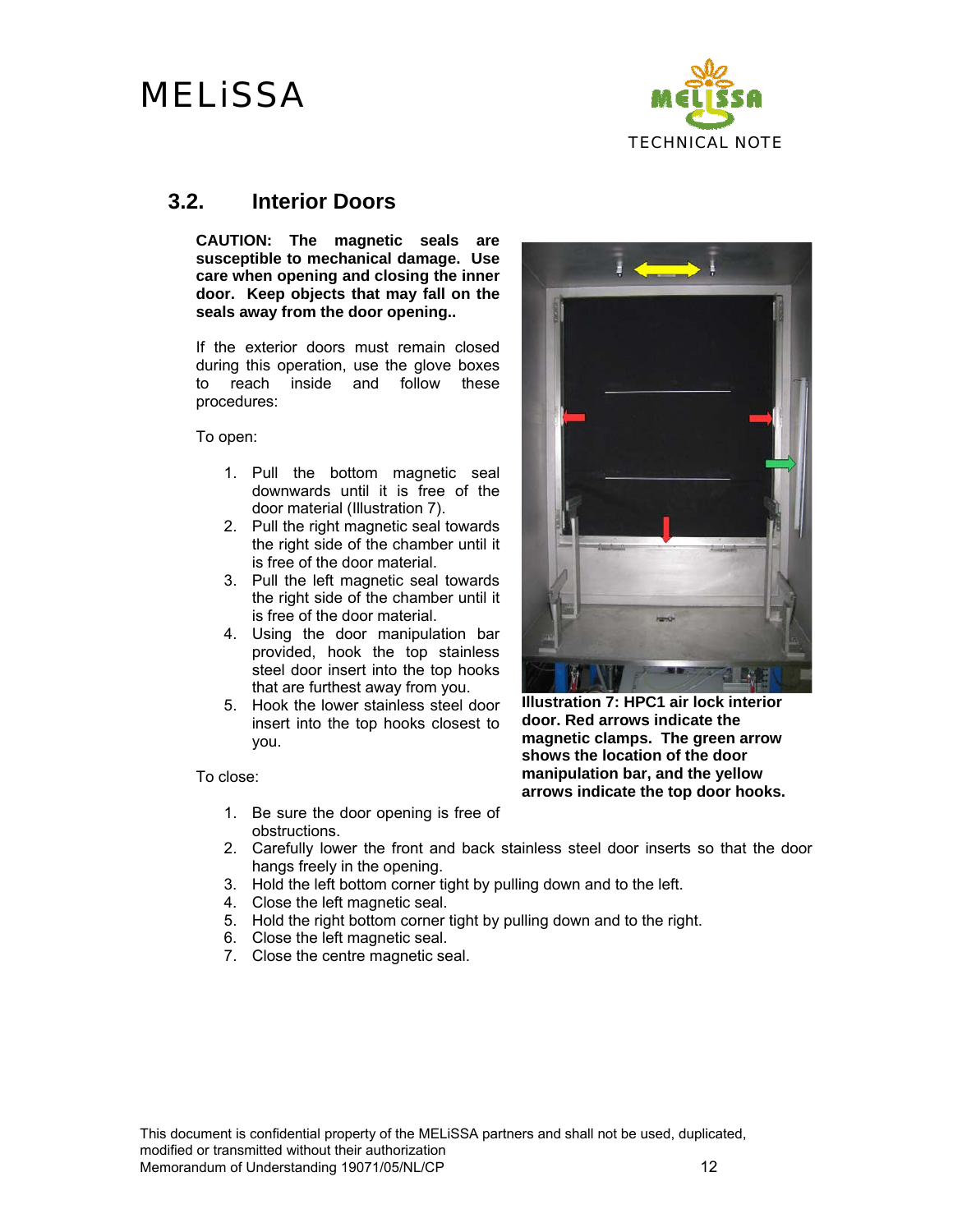

#### **3.2. Interior Doors**

**CAUTION: The magnetic seals are susceptible to mechanical damage. Use care when opening and closing the inner door. Keep objects that may fall on the seals away from the door opening..** 

If the exterior doors must remain closed during this operation, use the glove boxes to reach inside and follow these procedures:

To open:

- 1. Pull the bottom magnetic seal downwards until it is free of the door material (Illustration 7).
- 2. Pull the right magnetic seal towards the right side of the chamber until it is free of the door material.
- 3. Pull the left magnetic seal towards the right side of the chamber until it is free of the door material.
- 4. Using the door manipulation bar provided, hook the top stainless steel door insert into the top hooks that are furthest away from you.
- 5. Hook the lower stainless steel door insert into the top hooks closest to you.

To close:

- 1. Be sure the door opening is free of obstructions.
- 2. Carefully lower the front and back stainless steel door inserts so that the door hangs freely in the opening.
- 3. Hold the left bottom corner tight by pulling down and to the left.
- 4. Close the left magnetic seal.
- 5. Hold the right bottom corner tight by pulling down and to the right.
- 6. Close the left magnetic seal.
- 7. Close the centre magnetic seal.



**Illustration 7: HPC1 air lock interior door. Red arrows indicate the magnetic clamps. The green arrow shows the location of the door manipulation bar, and the yellow arrows indicate the top door hooks.**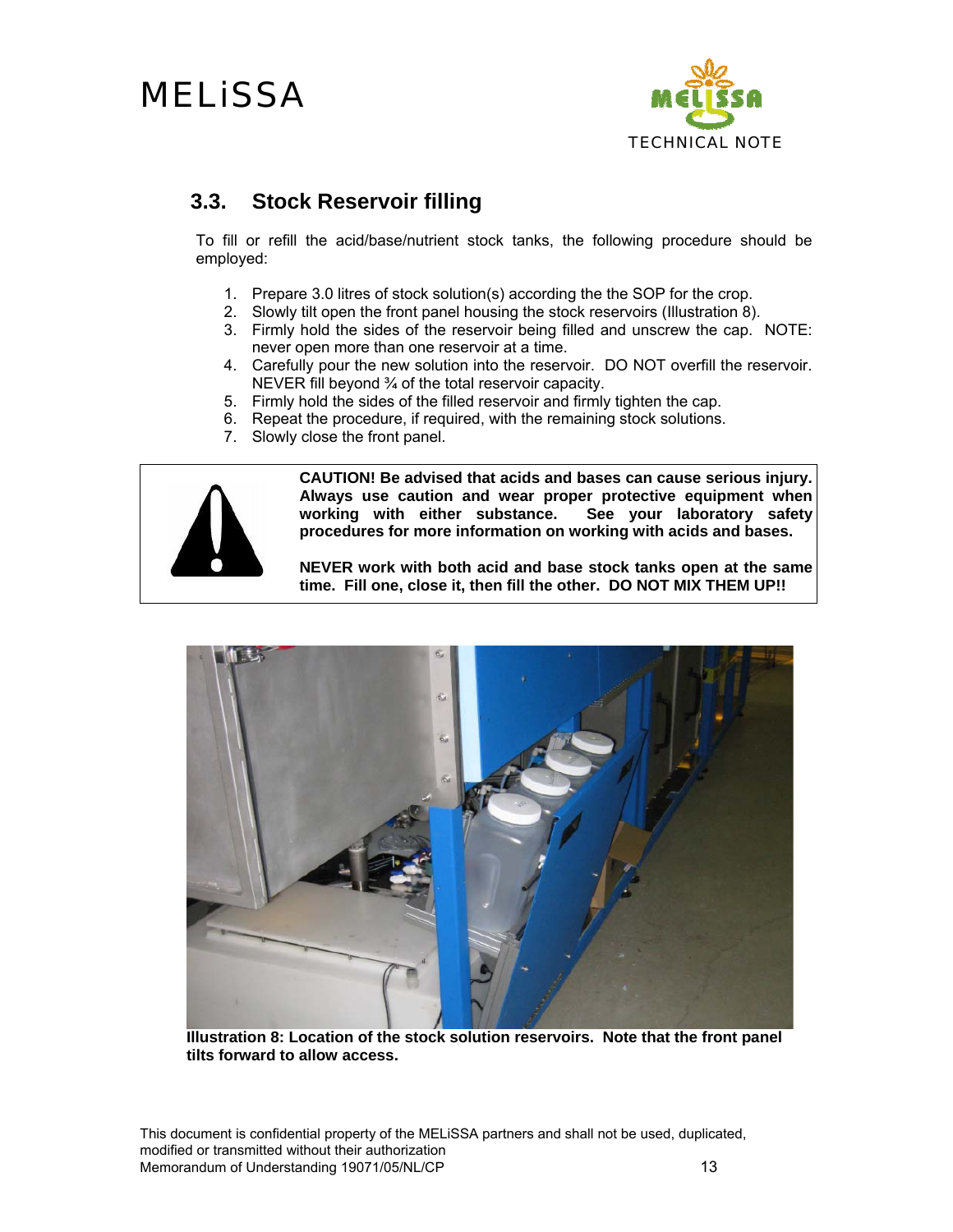

#### **3.3. Stock Reservoir filling**

To fill or refill the acid/base/nutrient stock tanks, the following procedure should be employed:

- 1. Prepare 3.0 litres of stock solution(s) according the the SOP for the crop.
- 2. Slowly tilt open the front panel housing the stock reservoirs (Illustration 8).
- 3. Firmly hold the sides of the reservoir being filled and unscrew the cap. NOTE: never open more than one reservoir at a time.
- 4. Carefully pour the new solution into the reservoir. DO NOT overfill the reservoir. NEVER fill beyond ¾ of the total reservoir capacity.
- 5. Firmly hold the sides of the filled reservoir and firmly tighten the cap.
- 6. Repeat the procedure, if required, with the remaining stock solutions.
- 7. Slowly close the front panel.



**CAUTION! Be advised that acids and bases can cause serious injury. Always use caution and wear proper protective equipment when**  working with either substance. **procedures for more information on working with acids and bases.** 

**NEVER work with both acid and base stock tanks open at the same time. Fill one, close it, then fill the other. DO NOT MIX THEM UP!!** 



**Illustration 8: Location of the stock solution reservoirs. Note that the front panel tilts forward to allow access.**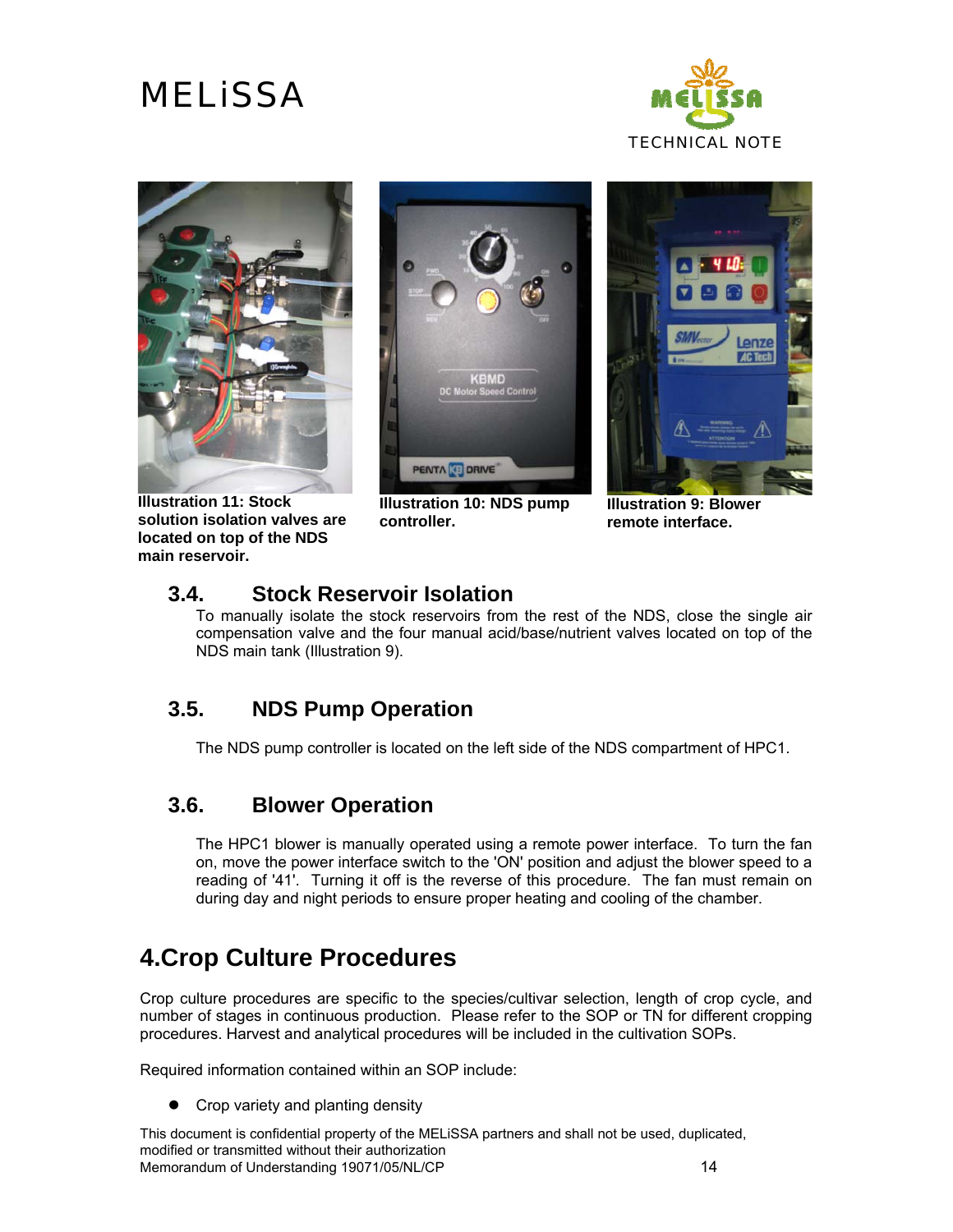



**Illustration 11: Stock solution isolation valves are located on top of the NDS main reservoir.** 



**Illustration 10: NDS pump controller.** 



**Illustration 9: Blower remote interface.** 

#### **3.4. Stock Reservoir Isolation**

To manually isolate the stock reservoirs from the rest of the NDS, close the single air compensation valve and the four manual acid/base/nutrient valves located on top of the NDS main tank (Illustration 9).

#### **3.5. NDS Pump Operation**

The NDS pump controller is located on the left side of the NDS compartment of HPC1.

#### **3.6. Blower Operation**

The HPC1 blower is manually operated using a remote power interface. To turn the fan on, move the power interface switch to the 'ON' position and adjust the blower speed to a reading of '41'. Turning it off is the reverse of this procedure. The fan must remain on during day and night periods to ensure proper heating and cooling of the chamber.

### **4.Crop Culture Procedures**

Crop culture procedures are specific to the species/cultivar selection, length of crop cycle, and number of stages in continuous production. Please refer to the SOP or TN for different cropping procedures. Harvest and analytical procedures will be included in the cultivation SOPs.

Required information contained within an SOP include:

 $\bullet$  Crop variety and planting density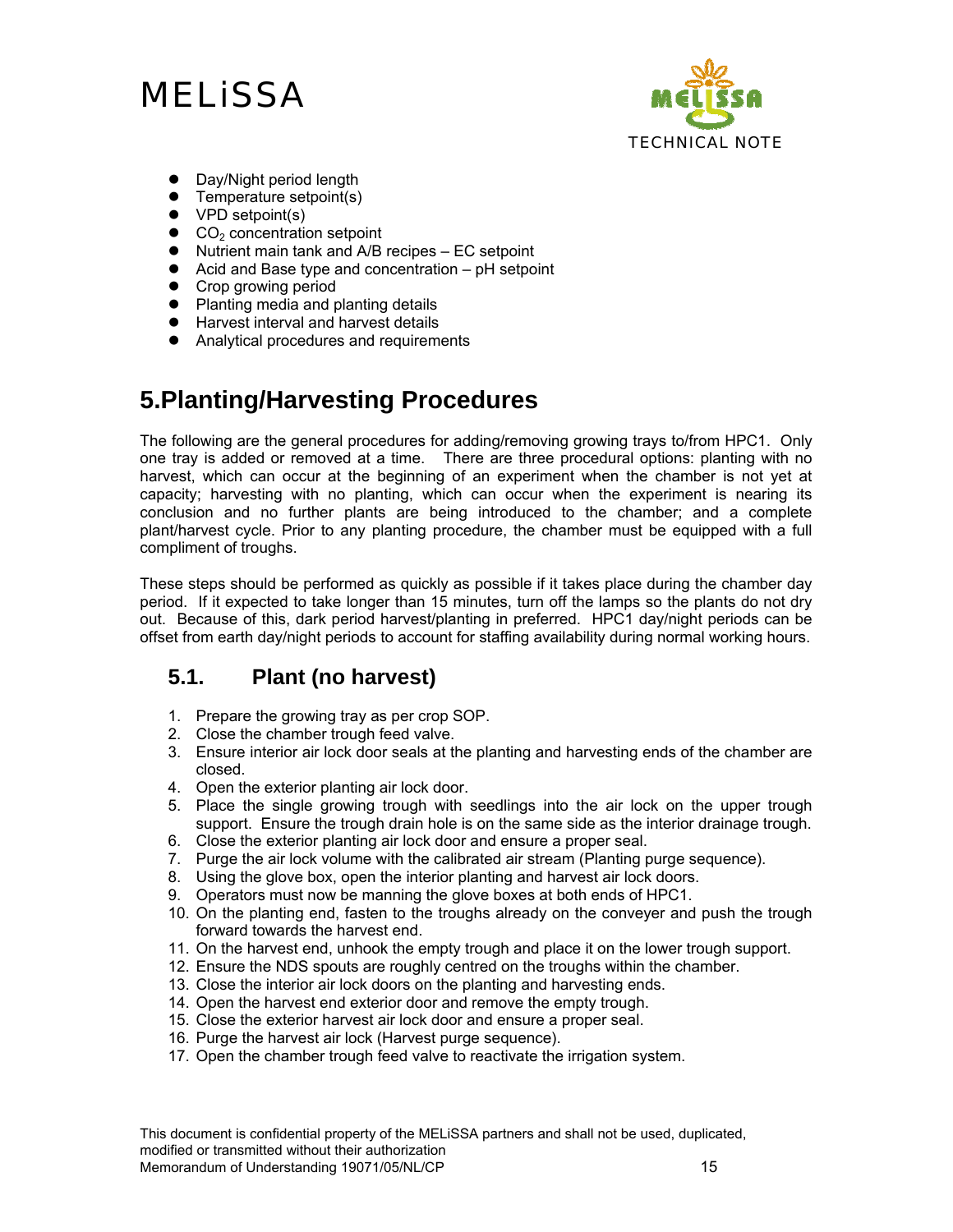

- Day/Night period length
- $\bullet$  Temperature setpoint(s)
- $\bullet$  VPD setpoint(s)
- $\bullet$  CO<sub>2</sub> concentration setpoint
- $\bullet$  Nutrient main tank and A/B recipes EC setpoint
- $\bullet$  Acid and Base type and concentration pH setpoint
- Crop growing period
- Planting media and planting details
- Harvest interval and harvest details
- Analytical procedures and requirements

### **5.Planting/Harvesting Procedures**

The following are the general procedures for adding/removing growing trays to/from HPC1. Only one tray is added or removed at a time. There are three procedural options: planting with no harvest, which can occur at the beginning of an experiment when the chamber is not yet at capacity; harvesting with no planting, which can occur when the experiment is nearing its conclusion and no further plants are being introduced to the chamber; and a complete plant/harvest cycle. Prior to any planting procedure, the chamber must be equipped with a full compliment of troughs.

These steps should be performed as quickly as possible if it takes place during the chamber day period. If it expected to take longer than 15 minutes, turn off the lamps so the plants do not dry out. Because of this, dark period harvest/planting in preferred. HPC1 day/night periods can be offset from earth day/night periods to account for staffing availability during normal working hours.

#### **5.1. Plant (no harvest)**

- 1. Prepare the growing tray as per crop SOP.
- 2. Close the chamber trough feed valve.
- 3. Ensure interior air lock door seals at the planting and harvesting ends of the chamber are closed.
- 4. Open the exterior planting air lock door.
- 5. Place the single growing trough with seedlings into the air lock on the upper trough support. Ensure the trough drain hole is on the same side as the interior drainage trough.
- 6. Close the exterior planting air lock door and ensure a proper seal.
- 7. Purge the air lock volume with the calibrated air stream (Planting purge sequence).
- 8. Using the glove box, open the interior planting and harvest air lock doors.
- 9. Operators must now be manning the glove boxes at both ends of HPC1.
- 10. On the planting end, fasten to the troughs already on the conveyer and push the trough forward towards the harvest end.
- 11. On the harvest end, unhook the empty trough and place it on the lower trough support.
- 12. Ensure the NDS spouts are roughly centred on the troughs within the chamber.
- 13. Close the interior air lock doors on the planting and harvesting ends.
- 14. Open the harvest end exterior door and remove the empty trough.
- 15. Close the exterior harvest air lock door and ensure a proper seal.
- 16. Purge the harvest air lock (Harvest purge sequence).
- 17. Open the chamber trough feed valve to reactivate the irrigation system.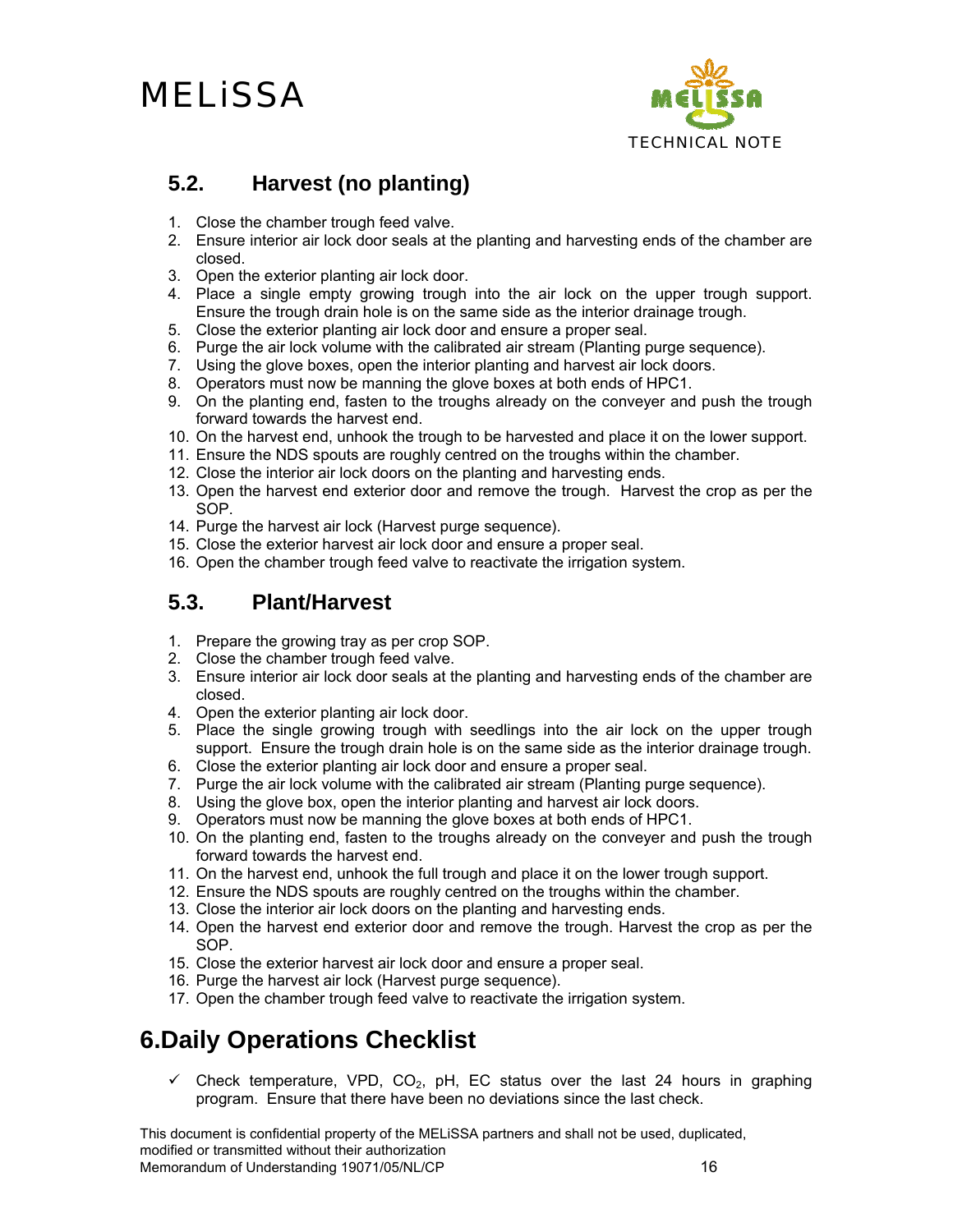

### **5.2. Harvest (no planting)**

- 1. Close the chamber trough feed valve.
- 2. Ensure interior air lock door seals at the planting and harvesting ends of the chamber are closed.
- 3. Open the exterior planting air lock door.
- 4. Place a single empty growing trough into the air lock on the upper trough support. Ensure the trough drain hole is on the same side as the interior drainage trough.
- 5. Close the exterior planting air lock door and ensure a proper seal.
- 6. Purge the air lock volume with the calibrated air stream (Planting purge sequence).
- 7. Using the glove boxes, open the interior planting and harvest air lock doors.
- 8. Operators must now be manning the glove boxes at both ends of HPC1.
- 9. On the planting end, fasten to the troughs already on the conveyer and push the trough forward towards the harvest end.
- 10. On the harvest end, unhook the trough to be harvested and place it on the lower support.
- 11. Ensure the NDS spouts are roughly centred on the troughs within the chamber.
- 12. Close the interior air lock doors on the planting and harvesting ends.
- 13. Open the harvest end exterior door and remove the trough. Harvest the crop as per the SOP.
- 14. Purge the harvest air lock (Harvest purge sequence).
- 15. Close the exterior harvest air lock door and ensure a proper seal.
- 16. Open the chamber trough feed valve to reactivate the irrigation system.

#### **5.3. Plant/Harvest**

- 1. Prepare the growing tray as per crop SOP.
- 2. Close the chamber trough feed valve.
- 3. Ensure interior air lock door seals at the planting and harvesting ends of the chamber are closed.
- 4. Open the exterior planting air lock door.
- 5. Place the single growing trough with seedlings into the air lock on the upper trough support. Ensure the trough drain hole is on the same side as the interior drainage trough.
- 6. Close the exterior planting air lock door and ensure a proper seal.
- 7. Purge the air lock volume with the calibrated air stream (Planting purge sequence).
- 8. Using the glove box, open the interior planting and harvest air lock doors.
- 9. Operators must now be manning the glove boxes at both ends of HPC1.
- 10. On the planting end, fasten to the troughs already on the conveyer and push the trough forward towards the harvest end.
- 11. On the harvest end, unhook the full trough and place it on the lower trough support.
- 12. Ensure the NDS spouts are roughly centred on the troughs within the chamber.
- 13. Close the interior air lock doors on the planting and harvesting ends.
- 14. Open the harvest end exterior door and remove the trough. Harvest the crop as per the SOP.
- 15. Close the exterior harvest air lock door and ensure a proper seal.
- 16. Purge the harvest air lock (Harvest purge sequence).
- 17. Open the chamber trough feed valve to reactivate the irrigation system.

### **6.Daily Operations Checklist**

 $\checkmark$  Check temperature, VPD, CO<sub>2</sub>, pH, EC status over the last 24 hours in graphing program. Ensure that there have been no deviations since the last check.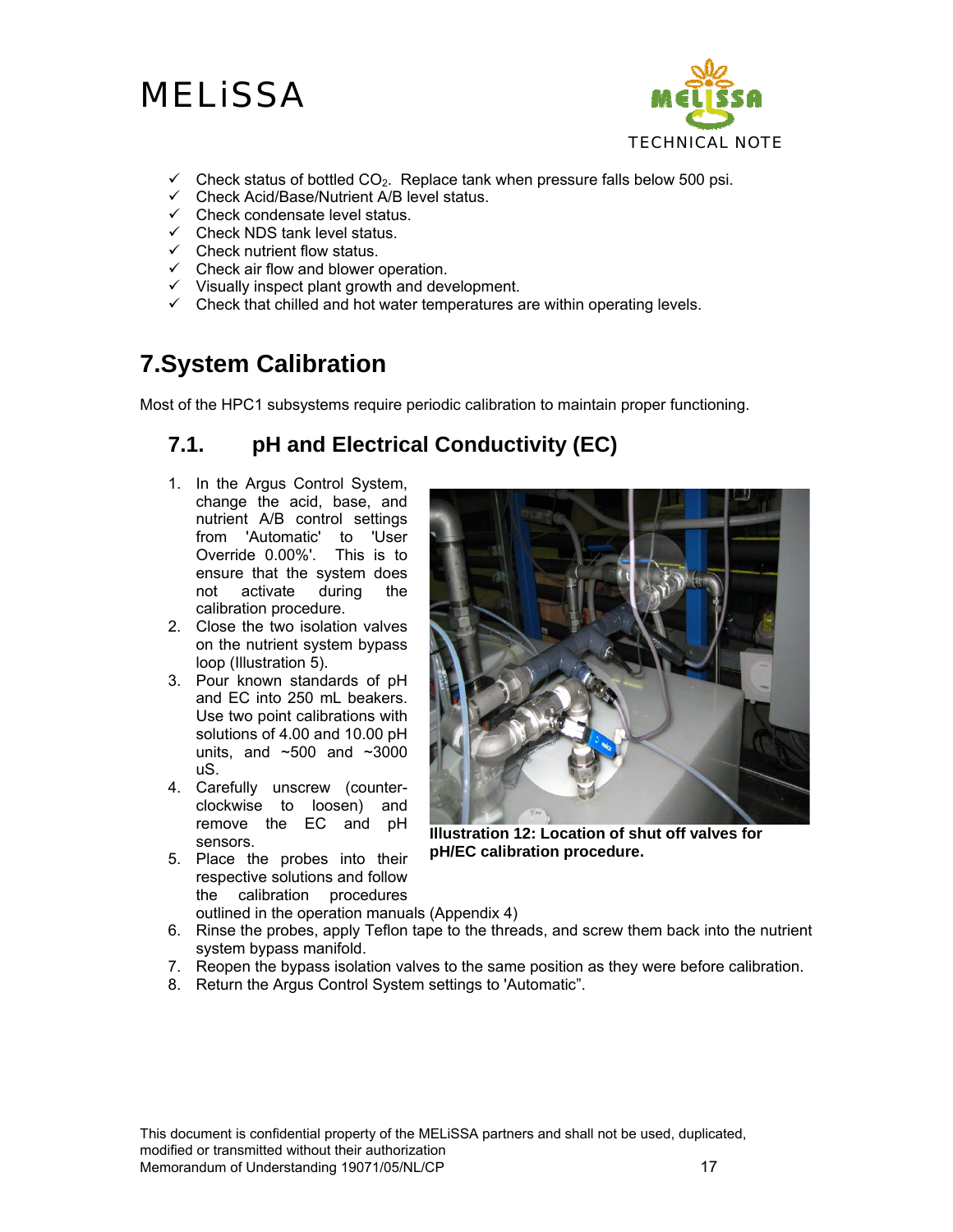

- $\checkmark$  Check status of bottled CO<sub>2</sub>. Replace tank when pressure falls below 500 psi.
- $\checkmark$  Check Acid/Base/Nutrient A/B level status.
- $\checkmark$  Check condensate level status.
- $\checkmark$  Check NDS tank level status.
- $\checkmark$  Check nutrient flow status.
- $\checkmark$  Check air flow and blower operation.
- $\checkmark$  Visually inspect plant growth and development.
- $\checkmark$  Check that chilled and hot water temperatures are within operating levels.

## **7.System Calibration**

Most of the HPC1 subsystems require periodic calibration to maintain proper functioning.

### **7.1. pH and Electrical Conductivity (EC)**

- 1. In the Argus Control System, change the acid, base, and nutrient A/B control settings from 'Automatic' to 'User Override 0.00%'. This is to ensure that the system does not activate during the calibration procedure.
- 2. Close the two isolation valves on the nutrient system bypass loop (Illustration 5).
- 3. Pour known standards of pH and EC into 250 mL beakers. Use two point calibrations with solutions of 4.00 and 10.00 pH units, and  $\sim$ 500 and  $\sim$ 3000 uS.
- 4. Carefully unscrew (counterclockwise to loosen) and remove the EC and pH sensors.
- 5. Place the probes into their respective solutions and follow the calibration procedures outlined in the operation manuals (Appendix 4)



**Illustration 12: Location of shut off valves for pH/EC calibration procedure.** 

- 6. Rinse the probes, apply Teflon tape to the threads, and screw them back into the nutrient system bypass manifold.
- 7. Reopen the bypass isolation valves to the same position as they were before calibration.
- 8. Return the Argus Control System settings to 'Automatic".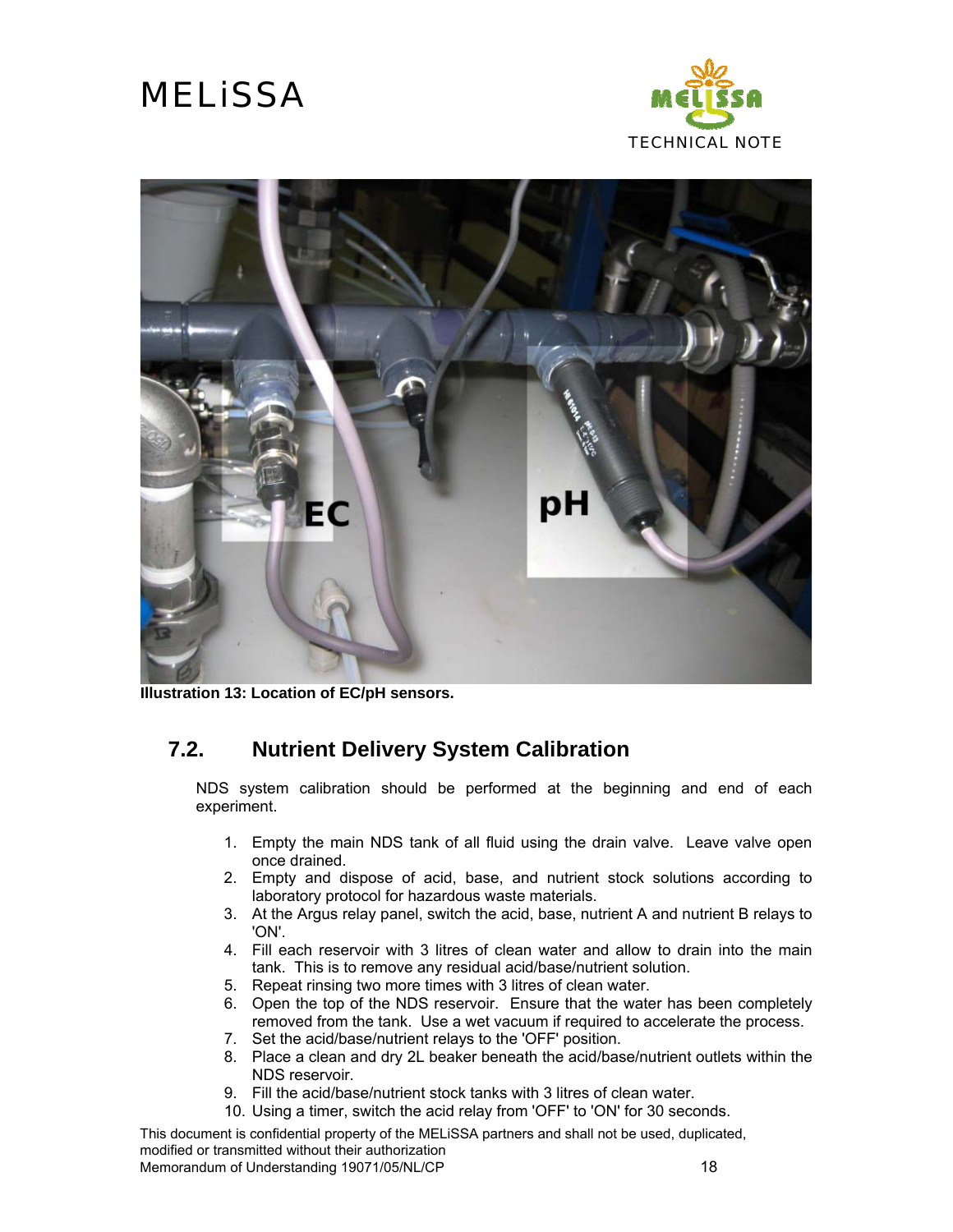



**Illustration 13: Location of EC/pH sensors.**

#### **7.2. Nutrient Delivery System Calibration**

NDS system calibration should be performed at the beginning and end of each experiment.

- 1. Empty the main NDS tank of all fluid using the drain valve. Leave valve open once drained.
- 2. Empty and dispose of acid, base, and nutrient stock solutions according to laboratory protocol for hazardous waste materials.
- 3. At the Argus relay panel, switch the acid, base, nutrient A and nutrient B relays to 'ON'.
- 4. Fill each reservoir with 3 litres of clean water and allow to drain into the main tank. This is to remove any residual acid/base/nutrient solution.
- 5. Repeat rinsing two more times with 3 litres of clean water.
- 6. Open the top of the NDS reservoir. Ensure that the water has been completely removed from the tank. Use a wet vacuum if required to accelerate the process.
- 7. Set the acid/base/nutrient relays to the 'OFF' position.
- 8. Place a clean and dry 2L beaker beneath the acid/base/nutrient outlets within the NDS reservoir.
- 9. Fill the acid/base/nutrient stock tanks with 3 litres of clean water.
- 10. Using a timer, switch the acid relay from 'OFF' to 'ON' for 30 seconds.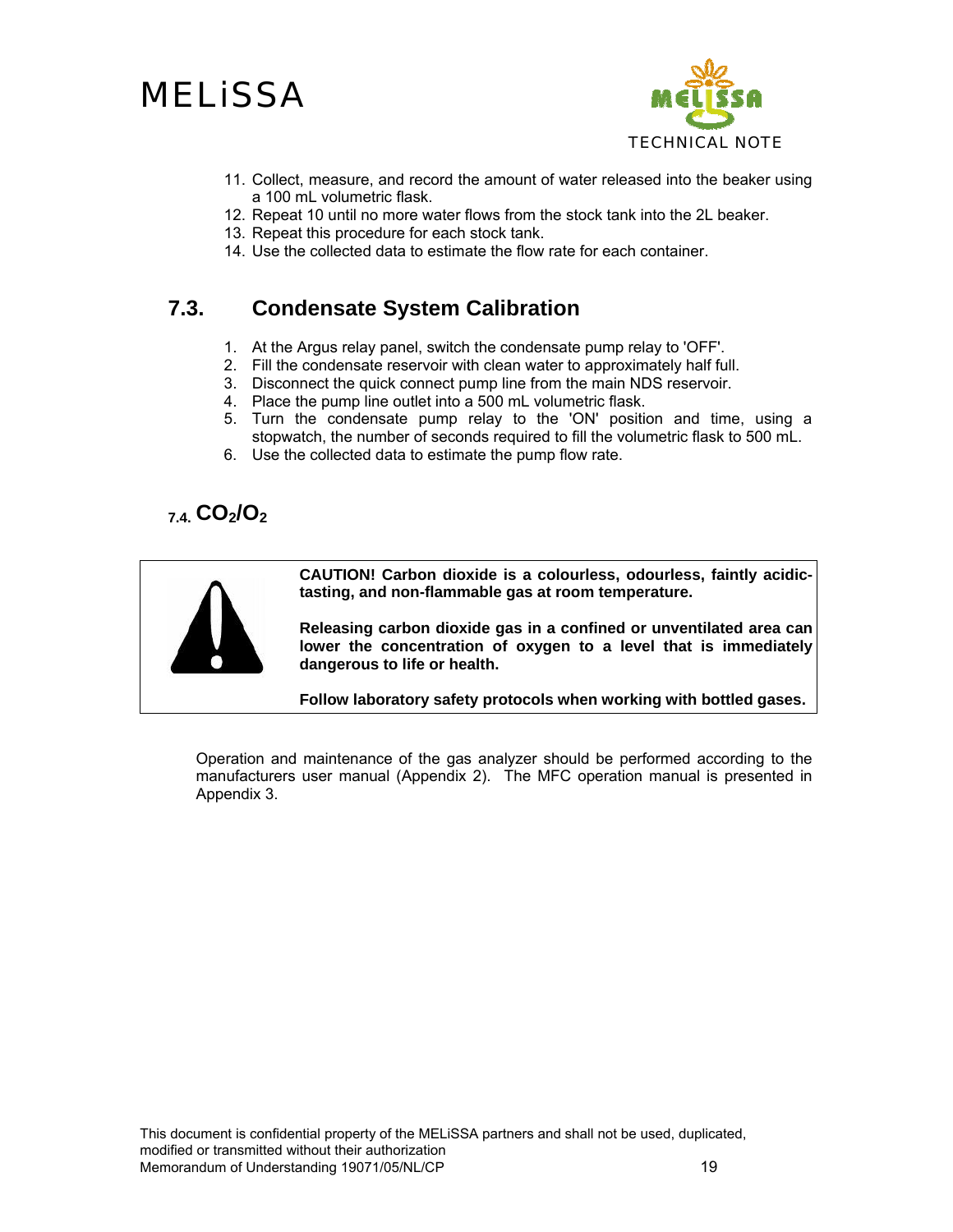



- 11. Collect, measure, and record the amount of water released into the beaker using a 100 mL volumetric flask.
- 12. Repeat 10 until no more water flows from the stock tank into the 2L beaker.
- 13. Repeat this procedure for each stock tank.
- 14. Use the collected data to estimate the flow rate for each container.

#### **7.3. Condensate System Calibration**

- 1. At the Argus relay panel, switch the condensate pump relay to 'OFF'.
- 2. Fill the condensate reservoir with clean water to approximately half full.
- 3. Disconnect the quick connect pump line from the main NDS reservoir.
- 4. Place the pump line outlet into a 500 mL volumetric flask.
- 5. Turn the condensate pump relay to the 'ON' position and time, using a stopwatch, the number of seconds required to fill the volumetric flask to 500 mL.
- 6. Use the collected data to estimate the pump flow rate.

### **7.4. CO2/O2**



**CAUTION! Carbon dioxide is a colourless, odourless, faintly acidictasting, and non-flammable gas at room temperature.** 

**Releasing carbon dioxide gas in a confined or unventilated area can lower the concentration of oxygen to a level that is immediately dangerous to life or health.** 

**Follow laboratory safety protocols when working with bottled gases.** 

Operation and maintenance of the gas analyzer should be performed according to the manufacturers user manual (Appendix 2). The MFC operation manual is presented in Appendix 3.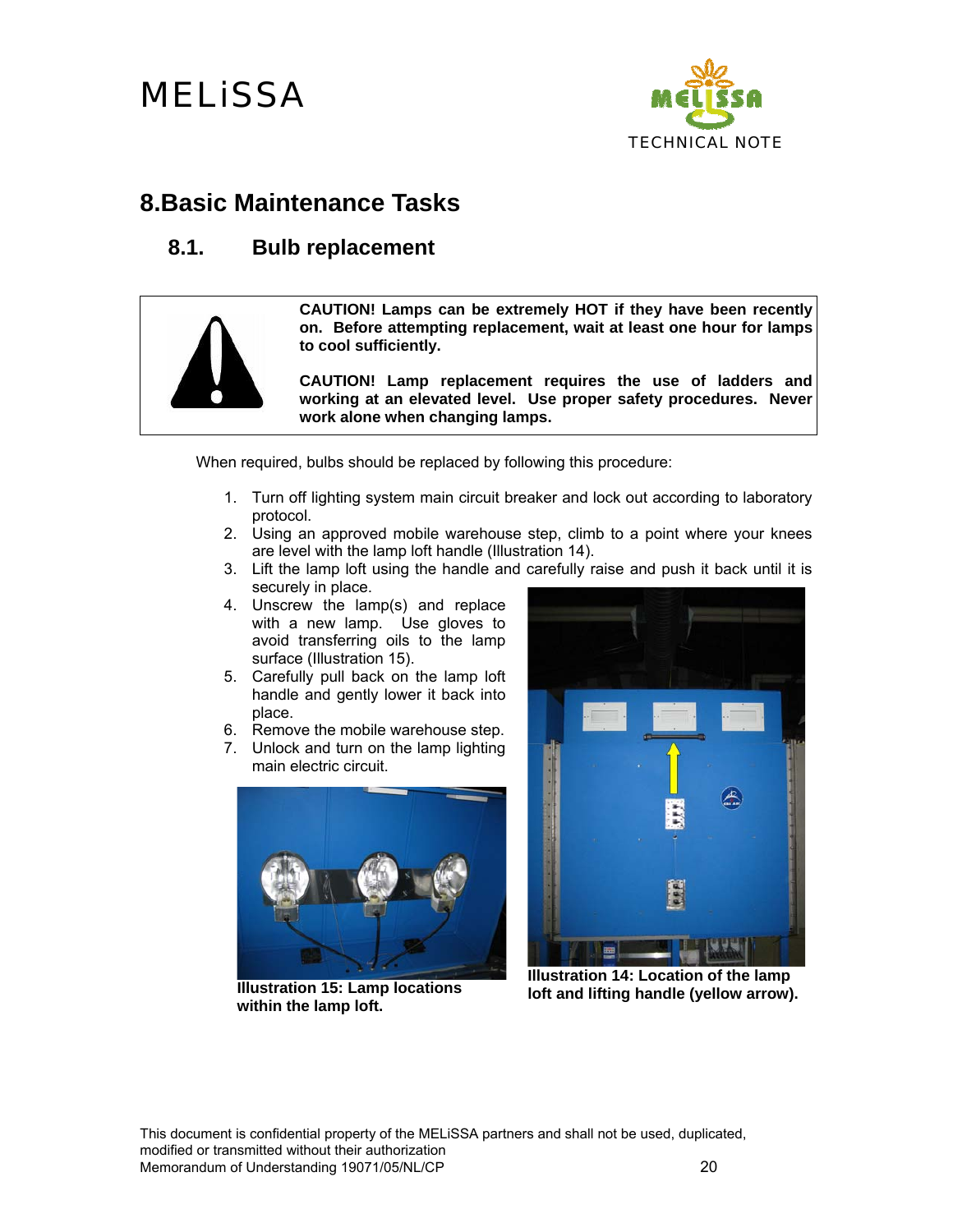

### **8.Basic Maintenance Tasks**

#### **8.1. Bulb replacement**



**CAUTION! Lamps can be extremely HOT if they have been recently on. Before attempting replacement, wait at least one hour for lamps to cool sufficiently.** 

**CAUTION! Lamp replacement requires the use of ladders and working at an elevated level. Use proper safety procedures. Never work alone when changing lamps.** 

When required, bulbs should be replaced by following this procedure:

- 1. Turn off lighting system main circuit breaker and lock out according to laboratory protocol.
- 2. Using an approved mobile warehouse step, climb to a point where your knees are level with the lamp loft handle (Illustration 14).
- 3. Lift the lamp loft using the handle and carefully raise and push it back until it is securely in place.
- 4. Unscrew the lamp(s) and replace with a new lamp. Use gloves to avoid transferring oils to the lamp surface (Illustration 15).
- 5. Carefully pull back on the lamp loft handle and gently lower it back into place.
- 6. Remove the mobile warehouse step.
- 7. Unlock and turn on the lamp lighting main electric circuit.



**Illustration 15: Lamp locations within the lamp loft.** 



**Illustration 14: Location of the lamp loft and lifting handle (yellow arrow).**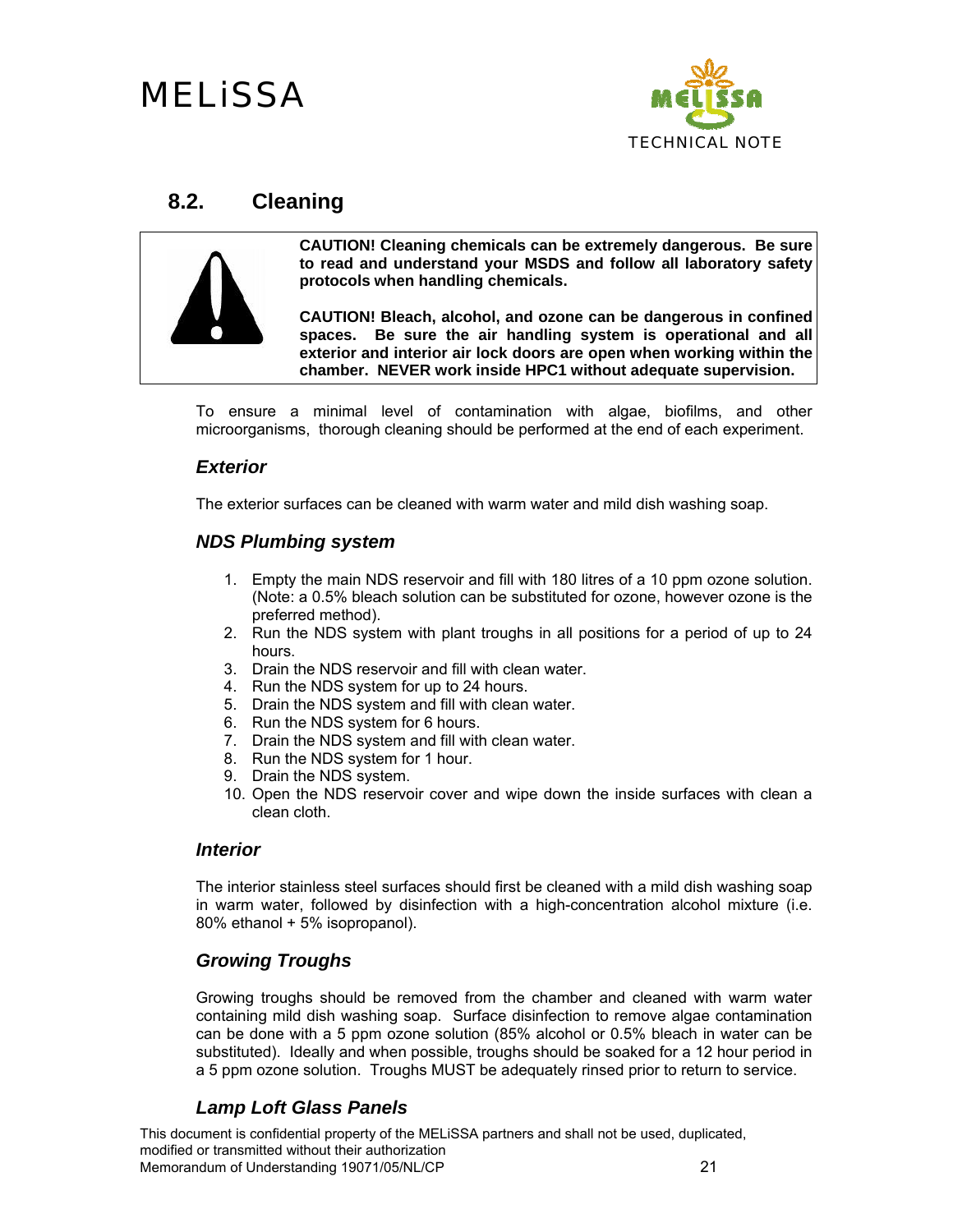

#### **8.2. Cleaning**



**CAUTION! Cleaning chemicals can be extremely dangerous. Be sure to read and understand your MSDS and follow all laboratory safety protocols when handling chemicals.** 

**CAUTION! Bleach, alcohol, and ozone can be dangerous in confined spaces. Be sure the air handling system is operational and all exterior and interior air lock doors are open when working within the chamber. NEVER work inside HPC1 without adequate supervision.** 

To ensure a minimal level of contamination with algae, biofilms, and other microorganisms, thorough cleaning should be performed at the end of each experiment.

#### *Exterior*

The exterior surfaces can be cleaned with warm water and mild dish washing soap.

#### *NDS Plumbing system*

- 1. Empty the main NDS reservoir and fill with 180 litres of a 10 ppm ozone solution. (Note: a 0.5% bleach solution can be substituted for ozone, however ozone is the preferred method).
- 2. Run the NDS system with plant troughs in all positions for a period of up to 24 hours.
- 3. Drain the NDS reservoir and fill with clean water.
- 4. Run the NDS system for up to 24 hours.
- 5. Drain the NDS system and fill with clean water.
- 6. Run the NDS system for 6 hours.
- 7. Drain the NDS system and fill with clean water.
- 8. Run the NDS system for 1 hour.
- 9. Drain the NDS system.
- 10. Open the NDS reservoir cover and wipe down the inside surfaces with clean a clean cloth.

#### *Interior*

The interior stainless steel surfaces should first be cleaned with a mild dish washing soap in warm water, followed by disinfection with a high-concentration alcohol mixture (i.e. 80% ethanol + 5% isopropanol).

#### *Growing Troughs*

Growing troughs should be removed from the chamber and cleaned with warm water containing mild dish washing soap. Surface disinfection to remove algae contamination can be done with a 5 ppm ozone solution (85% alcohol or 0.5% bleach in water can be substituted). Ideally and when possible, troughs should be soaked for a 12 hour period in a 5 ppm ozone solution. Troughs MUST be adequately rinsed prior to return to service.

#### *Lamp Loft Glass Panels*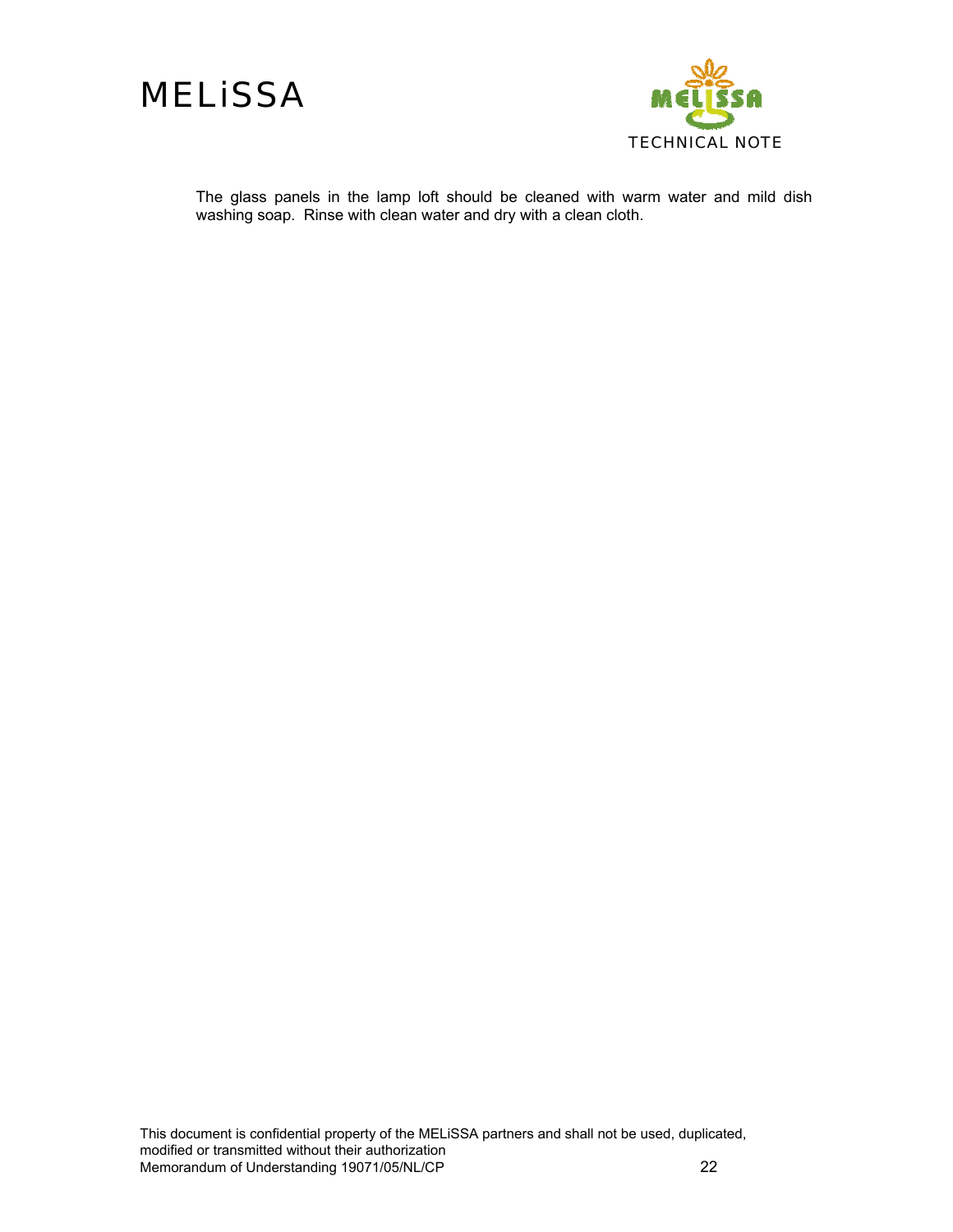



The glass panels in the lamp loft should be cleaned with warm water and mild dish washing soap. Rinse with clean water and dry with a clean cloth.